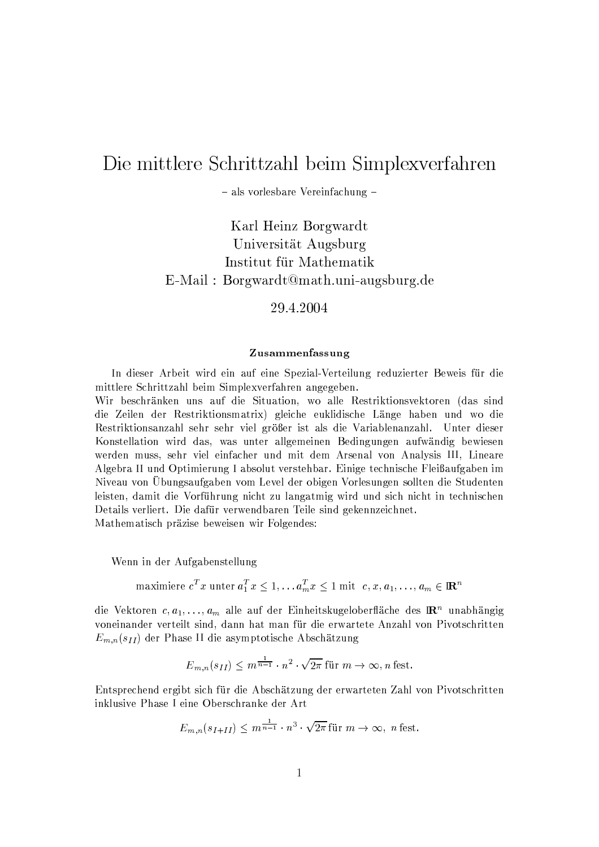# Die mittlere Schrittzahl beim Simplexverfahren

- als vorlesbare Vereinfachung -

Karl Heinz Borgwardt Universität Augsburg Institut für Mathematik E-Mail: Borgwardt@math.uni-augsburg.de

29.4.2004

### Zusammenfassung

In dieser Arbeit wird ein auf eine Spezial-Verteilung reduzierter Beweis für die mittlere Schrittzahl beim Simplexverfahren angegeben.

Wir beschränken uns auf die Situation, wo alle Restriktionsvektoren (das sind die Zeilen der Restriktionsmatrix) gleiche euklidische Länge haben und wo die Restriktionsanzahl sehr sehr viel größer ist als die Variablenanzahl. Unter dieser Konstellation wird das, was unter allgemeinen Bedingungen aufwändig bewiesen werden muss, sehr viel einfacher und mit dem Arsenal von Analysis III, Lineare Algebra II und Optimierung I absolut verstehbar. Einige technische Fleißaufgaben im Niveau von Übungsaufgaben vom Level der obigen Vorlesungen sollten die Studenten leisten, damit die Vorführung nicht zu langatmig wird und sich nicht in technischen Details verliert. Die dafür verwendbaren Teile sind gekennzeichnet. Mathematisch präzise beweisen wir Folgendes:

Wenn in der Aufgabenstellung

maximiere  $c^T x$  unter  $a_1^T x \leq 1, \ldots, a_m^T x \leq 1$  mit  $c, x, a_1, \ldots, a_m \in \mathbb{R}^n$ 

die Vektoren  $c, a_1, \ldots, a_m$  alle auf der Einheitskugeloberfläche des  $\mathbb{R}^n$  unabhängig voneinander verteilt sind, dann hat man für die erwartete Anzahl von Pivotschritten  $E_{m,n}(s_{II})$  der Phase II die asymptotische Abschätzung

$$
E_{m,n}(s_{II}) \le m^{\frac{1}{n-1}} \cdot n^2 \cdot \sqrt{2\pi} \text{ für } m \to \infty, n \text{ fest.}
$$

Entsprechend ergibt sich für die Abschätzung der erwarteten Zahl von Pivotschritten inklusive Phase I eine Oberschranke der Art

$$
E_{m,n}(s_{I+II}) \le m^{\frac{1}{n-1}} \cdot n^3 \cdot \sqrt{2\pi} \text{ für } m \to \infty, \text{ n fest.}
$$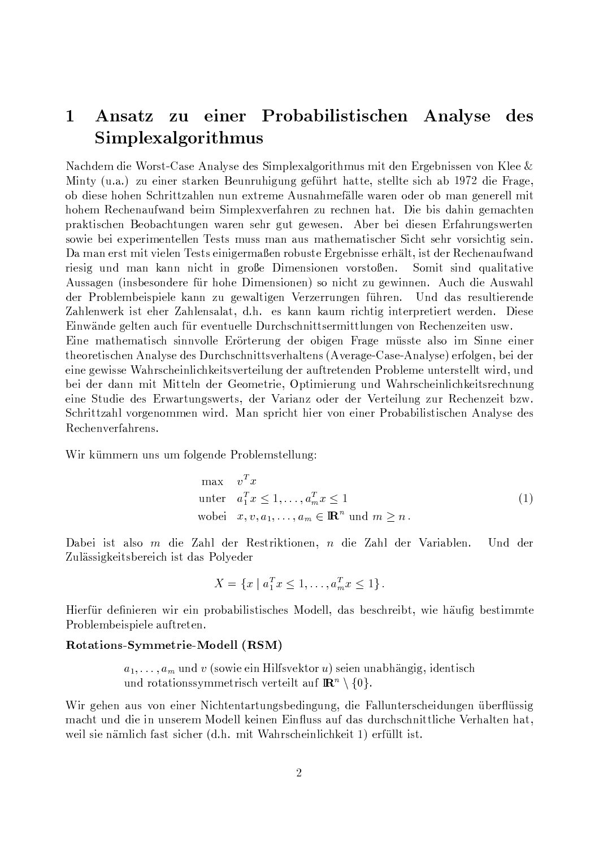#### zu einer Probabilistischen Analyse  $\mathbf{1}$ A nsatz des Simplexalgorithmus

Nachdem die Worst-Case Analyse des Simplexalgorithmus mit den Ergebnissen von Klee & Minty (u.a.) zu einer starken Beunruhigung geführt hatte, stellte sich ab 1972 die Frage, ob diese hohen Schrittzahlen nun extreme Ausnahmefälle waren oder ob man generell mit hohem Rechenaufwand beim Simplexverfahren zu rechnen hat. Die bis dahin gemachten praktischen Beobachtungen waren sehr gut gewesen. Aber bei diesen Erfahrungswerten sowie bei experimentellen Tests muss man aus mathematischer Sicht sehr vorsichtig sein. Da man erst mit vielen Tests einigermaßen robuste Ergebnisse erhält, ist der Rechenaufwand riesig und man kann nicht in große Dimensionen vorstoßen. Somit sind qualitative Aussagen (insbesondere für hohe Dimensionen) so nicht zu gewinnen. Auch die Auswahl der Problembeispiele kann zu gewaltigen Verzerrungen führen. Und das resultierende Zahlenwerk ist eher Zahlensalat, d.h. es kann kaum richtig interpretiert werden. Diese Einwände gelten auch für eventuelle Durchschnittsermittlungen von Rechenzeiten usw. Eine mathematisch sinnvolle Erörterung der obigen Frage müsste also im Sinne einer

theoretischen Analyse des Durchschnittsverhaltens (Average-Case-Analyse) erfolgen, bei der eine gewisse Wahrscheinlichkeitsverteilung der auftretenden Probleme unterstellt wird, und bei der dann mit Mitteln der Geometrie, Optimierung und Wahrscheinlichkeitsrechnung eine Studie des Erwartungswerts, der Varianz oder der Verteilung zur Rechenzeit bzw. Schrittzahl vorgenommen wird. Man spricht hier von einer Probabilistischen Analyse des Rechenverfahrens.

Wir kümmern uns um folgende Problemstellung:

$$
\begin{aligned}\n\max \quad & v^T x \\
\text{unter} \quad & a_1^T x \le 1, \dots, a_m^T x \le 1 \\
\text{wobei} \quad & x, v, a_1, \dots, a_m \in \mathbb{R}^n \text{ und } m \ge n\n\end{aligned} \tag{1}
$$

Dabei ist also  $m$  die Zahl der Restriktionen,  $n$  die Zahl der Variablen. Und der Zulässigkeitsbereich ist das Polyeder

$$
X = \{x \mid a_1^T x \le 1, \dots, a_m^T x \le 1\}.
$$

Hierfür definieren wir ein probabilistisches Modell, das beschreibt, wie häufig bestimmte Problembeispiele auftreten.

## Rotations-Symmetrie-Modell (RSM)

 $a_1, \ldots, a_m$  und v (sowie ein Hilfsvektor u) seien unabhängig, identisch und rotationssymmetrisch verteilt auf  $\mathbb{R}^n \setminus \{0\}.$ 

Wir gehen aus von einer Nichtentartungsbedingung, die Fallunterscheidungen überflüssig macht und die in unserem Modell keinen Einfluss auf das durchschnittliche Verhalten hat, weil sie nämlich fast sicher (d.h. mit Wahrscheinlichkeit 1) erfüllt ist.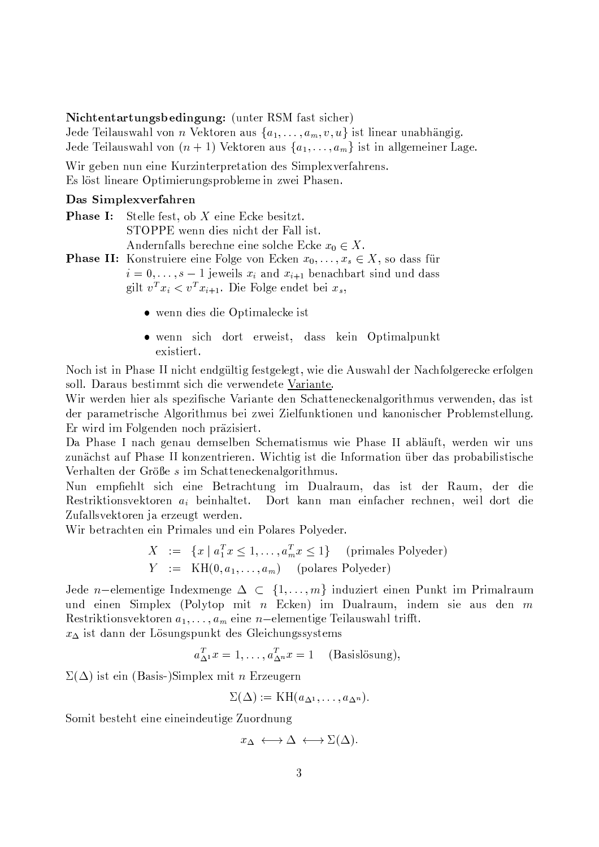### Nichtentartungsbedingung: (unter RSM fast sicher)

Jede Teilauswahl von *n* Vektoren aus  $\{a_1, \ldots, a_m, v, u\}$  ist linear unabhängig. Jede Teilauswahl von  $(n + 1)$  Vektoren aus  $\{a_1, \ldots, a_m\}$  ist in allgemeiner Lage.

Wir geben nun eine Kurzinterpretation des Simplexverfahrens. Es löst lineare Optimierungsprobleme in zwei Phasen.

## Das Simplexverfahren

| <b>Phase I:</b> Stelle fest, ob X eine Ecke besitzt.                                     |
|------------------------------------------------------------------------------------------|
| STOPPE wenn dies nicht der Fall ist.                                                     |
| Andernfalls berechne eine solche Ecke $x_0 \in X$ .                                      |
| <b>Phase II:</b> Konstruiere eine Folge von Ecken $x_0, \ldots, x_s \in X$ , so dass für |
| $i=0,\ldots,s-1$ jeweils $x_i$ and $x_{i+1}$ benachbart sind und dass                    |
| gilt $v^T x_i < v^T x_{i+1}$ . Die Folge endet bei $x_s$ ,                               |
|                                                                                          |

- wenn dies die Optimalecke ist
- · wenn sich dort erweist, dass kein Optimalpunkt existiert.

Noch ist in Phase II nicht endgültig festgelegt, wie die Auswahl der Nachfolgerecke erfolgen soll. Daraus bestimmt sich die verwendete Variante.

Wir werden hier als spezifische Variante den Schatteneckenalgorithmus verwenden, das ist der parametrische Algorithmus bei zwei Zielfunktionen und kanonischer Problemstellung. Er wird im Folgenden noch präzisiert.

Da Phase I nach genau demselben Schematismus wie Phase II abläuft, werden wir uns zunächst auf Phase II konzentrieren. Wichtig ist die Information über das probabilistische Verhalten der Größe s im Schatteneckenalgorithmus.

Nun empfiehlt sich eine Betrachtung im Dualraum, das ist der Raum, der die Restriktionsvektoren  $a_i$  beinhaltet. Dort kann man einfacher rechnen, weil dort die Zufallsvektoren ja erzeugt werden.

Wir betrachten ein Primales und ein Polares Polyeder.

$$
X := \{x \mid a_1^T x \le 1, \dots, a_m^T x \le 1\} \quad \text{(primales Polyeder)}
$$
\n
$$
Y := \text{KH}(0, a_1, \dots, a_m) \quad \text{(polares Polyeder)}
$$

Jede n-elementige Indexmenge  $\Delta \subset \{1,\ldots,m\}$  induziert einen Punkt im Primalraum und einen Simplex (Polytop mit  $n$  Ecken) im Dualraum, indem sie aus den  $m$ Restriktionsvektoren  $a_1, \ldots, a_m$  eine n-elementige Teilauswahl trifft.

 $x_{\Delta}$  ist dann der Lösungspunkt des Gleichungssystems

 $a_{\Delta}^T x = 1, \ldots, a_{\Delta}^T x = 1$  (Basislösung),

 $\Sigma(\Delta)$  ist ein (Basis-)Simplex mit *n* Erzeugern

$$
\Sigma(\Delta) := \mathrm{KH}(a_{\Delta^1}, \ldots, a_{\Delta^n})
$$

Somit besteht eine eineindeutige Zuordnung

$$
x_{\Delta} \leftrightarrow \Delta \leftrightarrow \Sigma(\Delta)
$$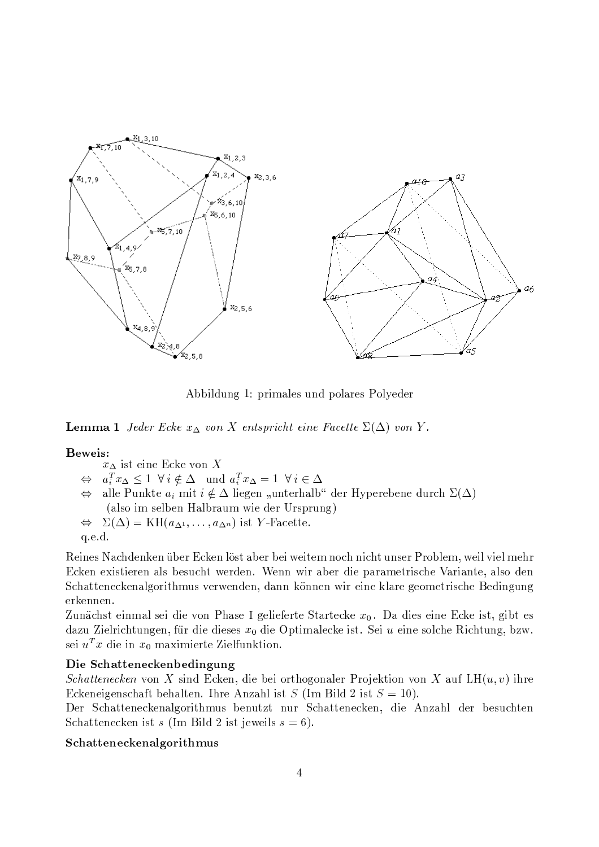

Abbildung 1: primales und polares Polyeder

**Lemma 1** Jeder Ecke  $x_{\Delta}$  von X entspricht eine Facette  $\Sigma(\Delta)$  von Y.

# Beweis:

- $x_{\Delta}$  ist eine Ecke von X
- $\Leftrightarrow a_i^T x_\Delta \leq 1 \ \forall i \notin \Delta \text{ and } a_i^T x_\Delta = 1 \ \forall i \in \Delta$
- alle Punkte  $a_i$  mit  $i \notin \Delta$  liegen "unterhalb" der Hyperebene durch  $\Sigma(\Delta)$  $\Leftrightarrow$ (also im selben Halbraum wie der Ursprung)
- $\Leftrightarrow \Sigma(\Delta) = KH(a_{\Delta^1}, \ldots, a_{\Delta^n})$  ist Y-Facette.

q.e.d.

Reines Nachdenken über Ecken löst aber bei weitem noch nicht unser Problem, weil viel mehr Ecken existieren als besucht werden. Wenn wir aber die parametrische Variante, also den Schatteneckenalgorithmus verwenden, dann können wir eine klare geometrische Bedingung erkennen.

Zunächst einmal sei die von Phase I gelieferte Startecke  $x_0$ . Da dies eine Ecke ist, gibt es dazu Zielrichtungen, für die dieses  $x_0$  die Optimalecke ist. Sei u eine solche Richtung, bzw. sei  $u^T x$  die in  $x_0$  maximierte Zielfunktion.

# Die Schatteneckenbedingung

*Schattenecken* von X sind Ecken, die bei orthogonaler Projektion von X auf LH $(u, v)$  ihre Eckeneigenschaft behalten. Ihre Anzahl ist  $S$  (Im Bild 2 ist  $S = 10$ ).

Der Schatteneckenalgorithmus benutzt nur Schattenecken, die Anzahl der besuchten Schattenecken ist s (Im Bild 2 ist jeweils  $s = 6$ ).

# Schatteneckenalgorithmus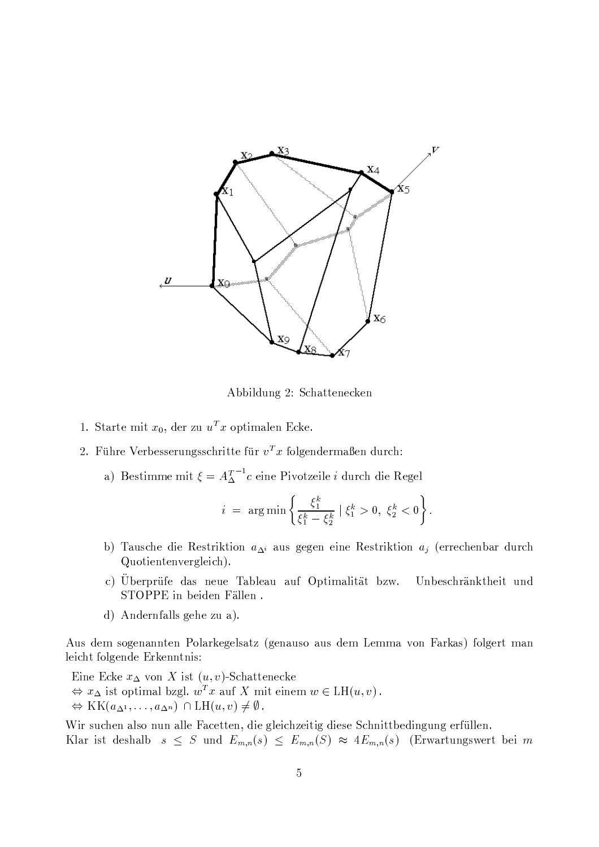

Abbildung 2: Schattenecken

- 1. Starte mit  $x_0$ , der zu  $u^T x$  optimalen Ecke.
- 2. Führe Verbesserungsschritte für  $v^T x$  folgendermaßen durch:
	- a) Bestimme mit  $\xi = A_{\Delta}^{T-1} c$  eine Pivotzeile *i* durch die Regel

$$
i = \arg\min\left\{\frac{\xi_1^k}{\xi_1^k - \xi_2^k} \mid \xi_1^k > 0, \ \xi_2^k < 0\right\}
$$

- b) Tausche die Restriktion  $a_{\Lambda}$  aus gegen eine Restriktion  $a_i$  (errechenbar durch Quotientenvergleich).
- c) Überprüfe das neue Tableau auf Optimalität bzw. Unbeschränktheit und STOPPE in beiden Fällen.
- d) Andernfalls gehe zu a).

Aus dem sogenannten Polarkegelsatz (genauso aus dem Lemma von Farkas) folgert man leicht folgende Erkenntnis:

Eine Ecke  $x_{\Delta}$  von X ist  $(u, v)$ -Schattenecke  $\Leftrightarrow x_{\Delta}$  ist optimal bzgl.  $w^T x$  auf X mit einem  $w \in LH(u, v)$ .  $\Leftrightarrow$  KK $(a_{\Delta^1},...,a_{\Delta^n}) \cap LH(u,v) \neq \emptyset$ .

Wir suchen also nun alle Facetten, die gleichzeitig diese Schnittbedingung erfüllen. Klar ist deshalb  $s \leq S$  und  $E_{m,n}(s) \leq E_{m,n}(S) \approx 4E_{m,n}(s)$  (Erwartungswert bei m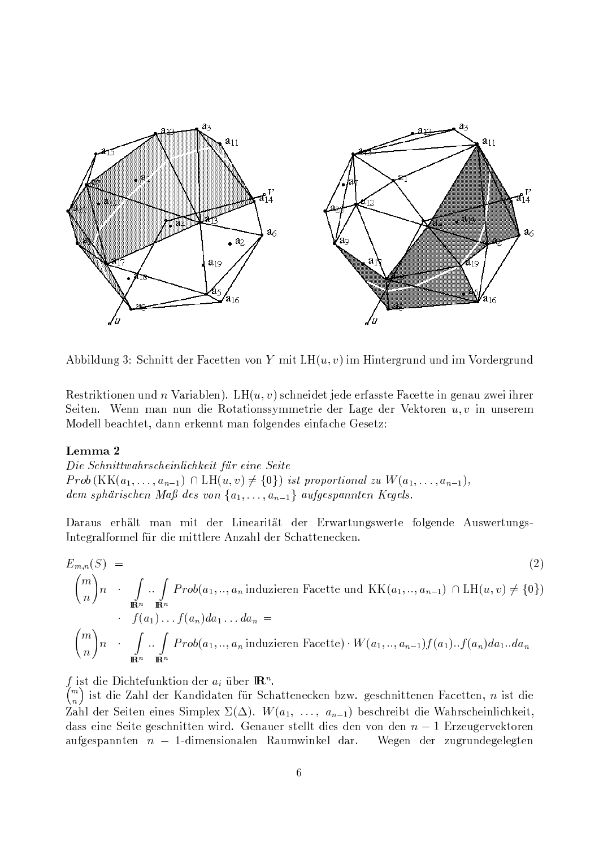

Abbildung 3: Schnitt der Facetten von Y mit  $LH(u, v)$  im Hintergrund und im Vordergrund

Restriktionen und *n* Variablen). LH $(u, v)$  schneidet jede erfasste Facette in genau zwei ihrer Seiten. Wenn man nun die Rotationssymmetrie der Lage der Vektoren  $u, v$  in unserem Modell beachtet, dann erkennt man folgendes einfache Gesetz:

### Lemma 2

Die Schnittwahrscheinlichkeit für eine Seite  $Prob(KK(a_1, \ldots, a_{n-1}) \cap LH(u, v) \neq \{0\})$  ist proportional zu  $W(a_1, \ldots, a_{n-1}),$ dem sphärischen Maß des von  $\{a_1, \ldots, a_{n-1}\}\$  aufgespannten Kegels.

Daraus erhält man mit der Linearität der Erwartungswerte folgende Auswertungs-Integralformel für die mittlere Anzahl der Schattenecken.

$$
E_{m,n}(S) =
$$
\n
$$
{m \choose n} n \cdot \int_{\mathbb{R}^n} \cdots \int_{\mathbb{R}^n} Prob(a_1, ..., a_n) \operatorname{induzieren} \text{Facette und } \operatorname{KK}(a_1, ..., a_{n-1}) \cap \operatorname{LH}(u, v) \neq \{0\})
$$
\n
$$
\cdot f(a_1) \dots f(a_n) da_1 \dots da_n =
$$
\n
$$
{m \choose n} n \cdot \int_{\mathbb{R}^n} \cdots \int_{\mathbb{R}^n} Prob(a_1, ..., a_n) \operatorname{induzieren} \text{Facette} \cdot W(a_1, ..., a_{n-1}) f(a_1) \dots f(a_n) da_1 \dots da_n
$$
\n(2)

f ist die Dichtefunktion der  $a_i$  über  $\mathbb{R}^n$ .

 $\binom{m}{n}$  ist die Zahl der Kandidaten für Schattenecken bzw. geschnittenen Facetten, n ist die Zahl der Seiten eines Simplex  $\Sigma(\Delta)$ .  $W(a_1, \ldots, a_{n-1})$  beschreibt die Wahrscheinlichkeit, dass eine Seite geschnitten wird. Genauer stellt dies den von den  $n-1$  Erzeugervektoren aufgespannten  $n-1$ -dimensionalen Raumwinkel dar. Wegen der zugrundegelegten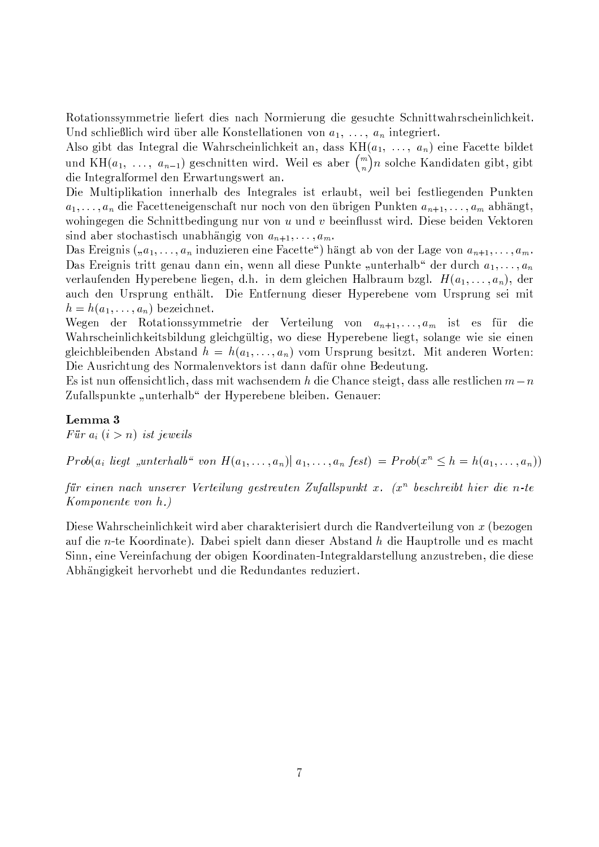Rotationssymmetrie liefert dies nach Normierung die gesuchte Schnittwahrscheinlichkeit. Und schließlich wird über alle Konstellationen von  $a_1, \ldots, a_n$  integriert.

Also gibt das Integral die Wahrscheinlichkeit an, dass  $KH(a_1, \ldots, a_n)$  eine Facette bildet und KH $(a_1, \ldots, a_{n-1})$  geschnitten wird. Weil es aber  $\binom{m}{n}n$  solche Kandidaten gibt, gibt die Integralformel den Erwartungswert an.

Die Multiplikation innerhalb des Integrales ist erlaubt, weil bei festliegenden Punkten  $a_1, \ldots, a_n$  die Facetteneigenschaft nur noch von den übrigen Punkten  $a_{n+1}, \ldots, a_m$  abhängt, wohingegen die Schnittbedingung nur von  $u$  und  $v$  beeinflusst wird. Diese beiden Vektoren sind aber stochastisch unabhängig von  $a_{n+1}, \ldots, a_m$ .

Das Ereignis  $(0, a_1, \ldots, a_n)$  induzieren eine Facette") hängt ab von der Lage von  $a_{n+1}, \ldots, a_m$ . Das Ereignis tritt genau dann ein, wenn all diese Punkte "unterhalb" der durch  $a_1, \ldots, a_n$ verlaufenden Hyperebene liegen, d.h. in dem gleichen Halbraum bzgl.  $H(a_1,\ldots,a_n)$ , der auch den Ursprung enthält. Die Entfernung dieser Hyperebene vom Ursprung sei mit  $h = h(a_1, \ldots, a_n)$  bezeichnet.

Wegen der Rotationssymmetrie der Verteilung von  $a_{n+1}, \ldots, a_m$  ist es für die Wahrscheinlichkeitsbildung gleichgültig, wo diese Hyperebene liegt, solange wie sie einen gleichbleibenden Abstand  $h = h(a_1, \ldots, a_n)$  vom Ursprung besitzt. Mit anderen Worten: Die Ausrichtung des Normalenvektors ist dann dafür ohne Bedeutung.

Es ist nun offensichtlich, dass mit wachsendem h die Chance steigt, dass alle restlichen  $m-n$ Zufallspunkte "unterhalb" der Hyperebene bleiben. Genauer:

# Lemma 3

Für  $a_i$   $(i > n)$  ist jeweils

 $Prob(a_i \text{ liegt }, \text{unterhalb }^{\alpha} \text{ von } H(a_1, \ldots, a_n) | a_1, \ldots, a_n \text{ fest}) = Prob(x^n \leq h = h(a_1, \ldots, a_n))$ 

für einen nach unserer Verteilung gestreuten Zufallspunkt x.  $(x^n)$  beschreibt hier die n-te Komponente von h.)

Diese Wahrscheinlichkeit wird aber charakterisiert durch die Randverteilung von  $x$  (bezogen auf die n-te Koordinate). Dabei spielt dann dieser Abstand h die Hauptrolle und es macht Sinn, eine Vereinfachung der obigen Koordinaten-Integraldarstellung anzustreben, die diese Abhängigkeit hervorhebt und die Redundantes reduziert.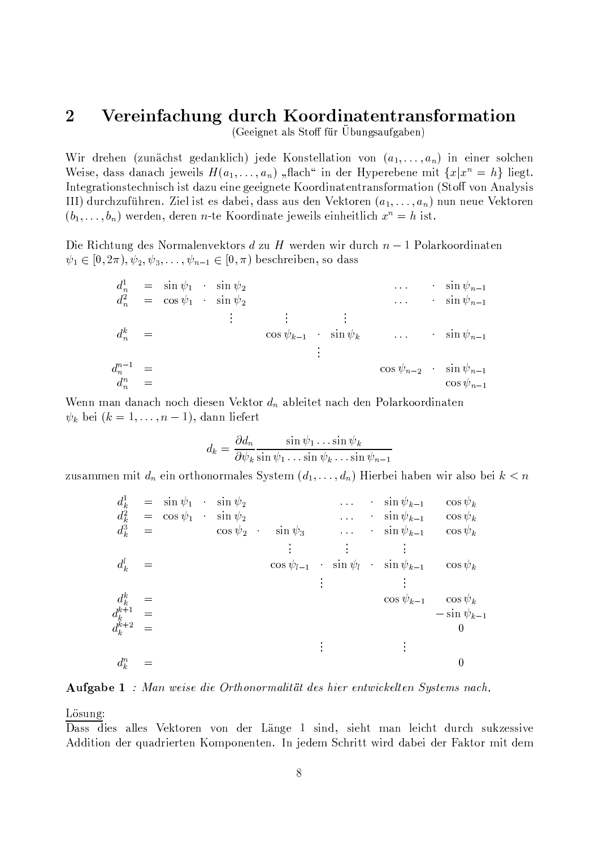#### $\overline{2}$ Vereinfachung durch Koordinatentransformation

(Geeignet als Stoff für Übungsaufgaben)

Wir drehen (zunächst gedanklich) jede Konstellation von  $(a_1, \ldots, a_n)$  in einer solchen Weise, dass danach jeweils  $H(a_1, \ldots, a_n)$ , flach" in der Hyperebene mit  $\{x | x^n = h\}$  liegt. Integrationstechnisch ist dazu eine geeignete Koordinatentransformation (Stoff von Analysis III) durchzuführen. Ziel ist es dabei, dass aus den Vektoren  $(a_1, \ldots, a_n)$  nun neue Vektoren  $(b_1, \ldots, b_n)$  werden, deren *n*-te Koordinate jeweils einheitlich  $x^n = h$  ist.

Die Richtung des Normalenvektors d zu H werden wir durch  $n-1$  Polarkoordinaten  $\psi_1 \in [0, 2\pi), \psi_2, \psi_3, \dots, \psi_{n-1} \in [0, \pi)$  beschreiben, so dass

$$
d_n^1 = \sin \psi_1 \sin \psi_2
$$
  
\n
$$
d_n^2 = \cos \psi_1 \sin \psi_2
$$
  
\n
$$
\vdots \qquad \qquad \vdots
$$
  
\n
$$
d_n^k = \cos \psi_{k-1} \sin \psi_k
$$
  
\n
$$
\vdots \qquad \qquad \vdots
$$
  
\n
$$
d_n^{n-1} = \qquad \qquad \cos \psi_{n-1}
$$
  
\n
$$
\vdots
$$
  
\n
$$
d_n^n = \qquad \qquad \cos \psi_{n-2} \sin \psi_{n-1}
$$
  
\n
$$
\vdots
$$
  
\n
$$
\cos \psi_{n-2} \sin \psi_{n-1}
$$

Wenn man danach noch diesen Vektor  $d_n$  ableitet nach den Polarkoordinaten  $\psi_k$  bei  $(k = 1, \ldots, n-1)$ , dann liefert

$$
d_k = \frac{\partial d_n}{\partial \psi_k} \frac{\sin \psi_1 \dots \sin \psi_k}{\sin \psi_1 \dots \sin \psi_k \dots \sin \psi_{n-1}}
$$

zusammen mit  $d_n$  ein orthonormales System  $(d_1, \ldots, d_n)$  Hierbei haben wir also bei  $k < n$ 

| $d_k^1 = \sin \psi_1$         | $\sin \psi_2$      | $\sin \psi_{k-1}$ | $\cos \psi_k$ |
|-------------------------------|--------------------|-------------------|---------------|
| $d_k^2 = \cos \psi_1$         | $\sin \psi_2$      | $\sin \psi_{k-1}$ | $\cos \psi_k$ |
| $d_k^3 = \cos \psi_2$         | $\sin \psi_3$      | $\sin \psi_{k-1}$ | $\cos \psi_k$ |
| $d_k^l = \cos \psi_{l-1}$     | $\sin \psi_l$      | $\sin \psi_{k-1}$ | $\cos \psi_k$ |
| $d_k^k = \cos \psi_{l-1}$     | $\sin \psi_l$      | $\sin \psi_{k-1}$ | $\cos \psi_k$ |
| $d_k^{k+1} = \cos \psi_{k-1}$ | $-\sin \psi_{k-1}$ |                   |               |
| $d_k^{k+2} = 0$               | $\sin \psi_{k-1}$  | $\cos \psi_{k-1}$ |               |
| $d_k^n = 0$                   | $\cos \psi_{k-1}$  | $\cos \psi_{k-1}$ |               |

**Aufgabe 1** : Man weise die Orthonormalität des hier entwickelten Systems nach.

Lösung:

Dass dies alles Vektoren von der Länge 1 sind, sieht man leicht durch sukzessive Addition der quadrierten Komponenten. In jedem Schritt wird dabei der Faktor mit dem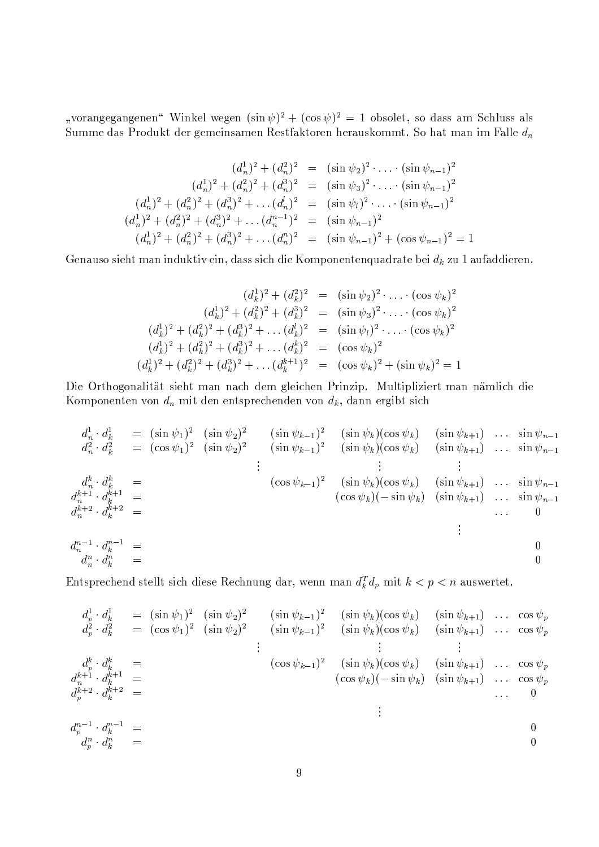"vorangegangenen" Winkel wegen  $(\sin \psi)^2 + (\cos \psi)^2 = 1$  obsolet, so dass am Schluss als Summe das Produkt der gemeinsamen Restfaktoren herauskommt. So hat man im Falle  $d_n$ 

$$
(d_n^1)^2 + (d_n^2)^2 = (\sin \psi_2)^2 \cdot \dots \cdot (\sin \psi_{n-1})^2
$$
  
\n
$$
(d_n^1)^2 + (d_n^2)^2 + (d_n^3)^2 = (\sin \psi_3)^2 \cdot \dots \cdot (\sin \psi_{n-1})^2
$$
  
\n
$$
(d_n^1)^2 + (d_n^2)^2 + (d_n^3)^2 + \dots (d_n^1)^2 = (\sin \psi_l)^2 \cdot \dots \cdot (\sin \psi_{n-1})^2
$$
  
\n
$$
(d_n^1)^2 + (d_n^2)^2 + (d_n^3)^2 + \dots (d_n^{n-1})^2 = (\sin \psi_{n-1})^2
$$
  
\n
$$
(d_n^1)^2 + (d_n^2)^2 + (d_n^3)^2 + \dots (d_n^n)^2 = (\sin \psi_{n-1})^2 + (\cos \psi_{n-1})^2 = 1
$$

Genauso sieht man induktiv ein, dass sich die Komponentenquadrate bei  $d_k$  zu 1 aufaddieren.

$$
(d_k^1)^2 + (d_k^2)^2 = (\sin \psi_2)^2 \cdot \ldots \cdot (\cos \psi_k)^2
$$
  

$$
(d_k^1)^2 + (d_k^2)^2 + (d_k^3)^2 = (\sin \psi_3)^2 \cdot \ldots \cdot (\cos \psi_k)^2
$$
  

$$
(d_k^1)^2 + (d_k^2)^2 + (d_k^3)^2 + \ldots (d_k^1)^2 = (\sin \psi_1)^2 \cdot \ldots \cdot (\cos \psi_k)^2
$$
  

$$
(d_k^1)^2 + (d_k^2)^2 + (d_k^3)^2 + \ldots (d_k^k)^2 = (\cos \psi_k)^2
$$
  

$$
(d_k^1)^2 + (d_k^2)^2 + (d_k^3)^2 + \ldots (d_k^{k+1})^2 = (\cos \psi_k)^2 + (\sin \psi_k)^2 = 1
$$

Die Orthogonalität sieht man nach dem gleichen Prinzip. Multipliziert man nämlich die Komponenten von  $d_n$  mit den entsprechenden von  $d_k$ , dann ergibt sich

$$
d_n^1 \t d_k^1 = (\sin \psi_1)^2 (\sin \psi_2)^2 \t (\sin \psi_{k-1})^2 (\sin \psi_k)(\cos \psi_k) (\sin \psi_{k+1}) \t \dots \t \sin \psi_{n-1} \n d_n^2 \t d_k^2 = (\cos \psi_1)^2 (\sin \psi_2)^2 \t (\sin \psi_{k-1})^2 (\sin \psi_k)(\cos \psi_k) (\sin \psi_{k+1}) \t \dots \t \sin \psi_{n-1} \n d_n^k \t d_k^k = (\cos \psi_{k-1})^2 (\sin \psi_k)(\cos \psi_k) (\sin \psi_{k+1}) \t \dots \t \sin \psi_{n-1} \n d_n^{k+1} \t d_k^{k+1} = (\cos \psi_{k-1})^2 (\sin \psi_k)(\cos \psi_k) (\sin \psi_{k+1}) \t \dots \t \sin \psi_{n-1} \n d_n^{k+2} \t d_k^{k+2} =
$$
\n
$$
d_n^{n-1} \t d_k^{n-1} =
$$
\n
$$
d_n^{n-1} \t d_k^n =
$$
\n
$$
d_n^n \t d_k^n =
$$
\n
$$
0
$$

Entsprechend stellt sich diese Rechnung dar, wenn man $d_k^T d_p$  mit  $k < p < n$ auswertet.

$$
d_p^1 \cdot d_k^1 = (\sin \psi_1)^2 \quad (\sin \psi_2)^2 \quad (\sin \psi_{k-1})^2 \quad (\sin \psi_k)(\cos \psi_k) \quad (\sin \psi_{k+1}) \dots \cos \psi_1
$$
  
\n
$$
d_p^2 \cdot d_k^2 = (\cos \psi_1)^2 \quad (\sin \psi_2)^2 \quad (\sin \psi_{k-1})^2 \quad (\sin \psi_k)(\cos \psi_k) \quad (\sin \psi_{k+1}) \dots \cos \psi_1
$$
  
\n
$$
\vdots \qquad \vdots \qquad \vdots
$$
  
\n
$$
d_p^k \cdot d_k^k =
$$
  
\n
$$
d_p^{k+1} \cdot d_k^{k+1} =
$$
  
\n
$$
d_p^{k+2} \cdot d_k^{k+2} =
$$
  
\n
$$
d_p^{n-1} \cdot d_k^{n-1} =
$$
  
\n
$$
d_p^{n-1} \cdot d_k^{n-1} =
$$
  
\n
$$
d_p^{n-1} \cdot d_k^{n-1} =
$$
  
\n
$$
d_p^{n-1} \cdot d_k^{n-1} =
$$
  
\n
$$
d_p^{n-1} \cdot d_k^{n-1} =
$$
  
\n
$$
d_p^{n-1} \cdot d_k^{n-1} =
$$
  
\n
$$
d_p^{n-1} \cdot d_k^{n-1} =
$$
  
\n
$$
0
$$
  
\n
$$
0
$$
  
\n
$$
0
$$
  
\n
$$
0
$$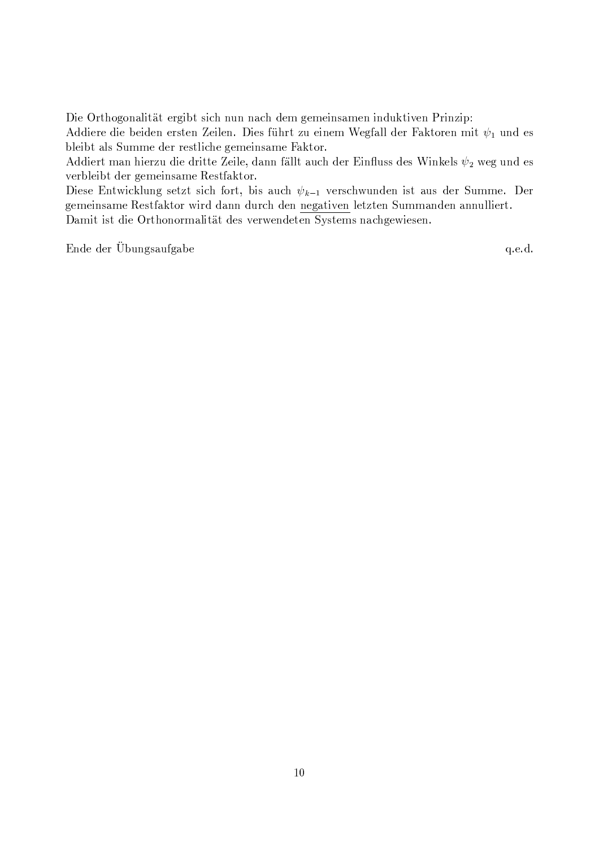Die Orthogonalität ergibt sich nun nach dem gemeinsamen induktiven Prinzip:

Addiere die beiden ersten Zeilen. Dies führt zu einem Wegfall der Faktoren mit  $\psi_1$  und es bleibt als Summe der restliche gemeinsame Faktor.

Addiert man hierzu die dritte Zeile, dann fällt auch der Einfluss des Winkels  $\psi_2$  weg und es verbleibt der gemeinsame Restfaktor.

Diese Entwicklung setzt sich fort, bis auch  $\psi_{k-1}$  verschwunden ist aus der Summe. Der gemeinsame Restfaktor wird dann durch den negativen letzten Summanden annulliert. Damit ist die Orthonormalität des verwendeten Systems nachgewiesen.

Ende der Übungsaufgabe

q.e.d.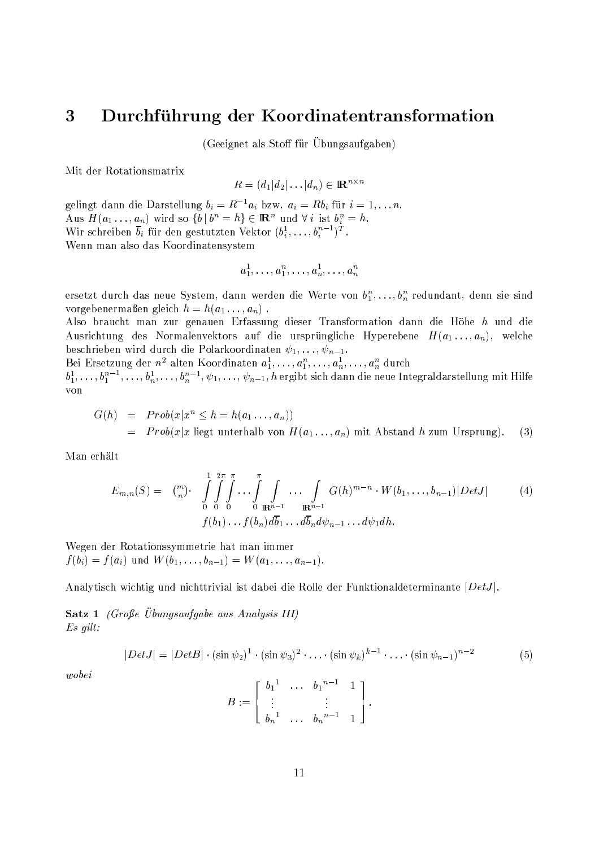#### 3 Durchführung der Koordinatentransformation

(Geeignet als Stoff für Übungsaufgaben)

Mit der Rotationsmatrix

$$
R = (d_1 | d_2 | \dots | d_n) \in \mathbb{R}^{n \times r}
$$

gelingt dann die Darstellung  $b_i = R^{-1}a_i$  bzw.  $a_i = Rb_i$  für  $i = 1, \ldots n$ . Aus  $H(a_1 \ldots, a_n)$  wird so  $\{b \mid b^n = h\} \in \mathbb{R}^n$  und  $\forall i$  ist  $b_i^n = h$ . Wir schreiben  $\overline{b}_i$  für den gestutzten Vektor  $(b_i^1, \ldots, b_i^{n-1})^T$ . Wenn man also das Koordinatensystem

$$
a^1_1,\ldots,a^n_1,\ldots,a^1_n,\ldots,a^n_n
$$

ersetzt durch das neue System, dann werden die Werte von  $b_1^n, \ldots, b_n^n$  redundant, denn sie sind vorgebenermaßen gleich  $h = h(a_1 \ldots, a_n)$ .

Also braucht man zur genauen Erfassung dieser Transformation dann die Höhe h und die Ausrichtung des Normalenvektors auf die ursprüngliche Hyperebene  $H(a_1, \ldots, a_n)$ , welche beschrieben wird durch die Polarkoordinaten  $\psi_1, \ldots, \psi_{n-1}$ .

Bei Ersetzung der  $n^2$  alten Koordinaten  $a_1^1, \ldots, a_1^n, \ldots, a_n^n, \ldots, a_n^n$  durch<br> $b_1^1, \ldots, b_1^{n-1}, \ldots, b_n^1, \ldots, b_n^{n-1}, \psi_1, \ldots, \psi_{n-1}, h$  ergibt sich dann die neue Integraldarstellung mit Hilfe von

$$
G(h) = Prob(x|x^n \le h = h(a_1 \dots, a_n))
$$
  
= Prob(x|x ||ept unterhalb von  $H(a_1 \dots, a_n)$  mit Abstand h zum Ursprung). (3)

Man erhält

$$
E_{m,n}(S) = \binom{m}{n} \cdot \int_{0}^{1} \int_{0}^{2\pi} \int_{0}^{\pi} \dots \int_{0}^{\pi} \int_{\mathbb{R}^{n-1}} \dots \int_{\mathbb{R}^{n-1}} G(h)^{m-n} \cdot W(b_1, \dots, b_{n-1}) |Det J| \tag{4}
$$
  

$$
f(b_1) \dots f(b_n) d\overline{b}_1 \dots d\overline{b}_n d\psi_{n-1} \dots d\psi_1 dh.
$$

Wegen der Rotationssymmetrie hat man immer  $f(b_i) = f(a_i)$  und  $W(b_1, \ldots, b_{n-1}) = W(a_1, \ldots, a_{n-1}).$ 

Analytisch wichtig und nichttrivial ist dabei die Rolle der Funktionaldeterminante |DetJ|.

**Satz 1** (Große Übungsaufgabe aus Analysis III)  $Es\; gilt:$ 

$$
|Det J| = |Det B| \cdot (\sin \psi_2)^1 \cdot (\sin \psi_3)^2 \cdot \ldots \cdot (\sin \psi_k)^{k-1} \cdot \ldots \cdot (\sin \psi_{n-1})^{n-2}
$$
 (5)

 $wobei$ 

$$
B := \left[ \begin{array}{cccc} b_1^1 & \cdots & b_1^{n-1} & 1 \\ \vdots & & \vdots & \\ b_n^1 & \cdots & b_n^{n-1} & 1 \end{array} \right].
$$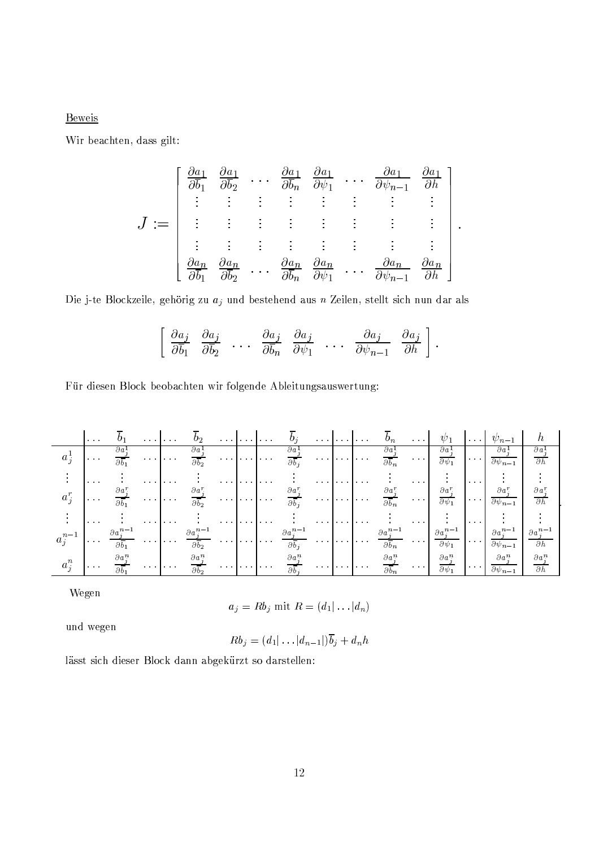**Beweis** 

Wir beachten, dass gilt:

$$
J := \begin{bmatrix} \frac{\partial a_1}{\partial b_1} & \frac{\partial a_1}{\partial b_2} & \cdots & \frac{\partial a_1}{\partial b_n} & \frac{\partial a_1}{\partial \psi_1} & \cdots & \frac{\partial a_1}{\partial \psi_{n-1}} & \frac{\partial a_1}{\partial h} \\ \vdots & \vdots & \vdots & \vdots & \vdots & \vdots & \vdots \\ \vdots & \vdots & \vdots & \vdots & \vdots & \vdots & \vdots \\ \frac{\partial a_n}{\partial \overline{b_1}} & \frac{\partial a_n}{\partial \overline{b_2}} & \cdots & \frac{\partial a_n}{\partial \overline{b_n}} & \frac{\partial a_n}{\partial \psi_1} & \cdots & \frac{\partial a_n}{\partial \psi_{n-1}} & \frac{\partial a_n}{\partial h} \end{bmatrix}
$$

 $\ddot{\phantom{0}}$ 

Die j-te Blockzeile, gehörig zu $\mathfrak{a}_j$  und bestehend aus  $n$ Zeilen, stellt sich nun dar als

$$
\left[\begin{array}{cccccc}\n\frac{\partial a_j}{\partial \overline{b}_1} & \frac{\partial a_j}{\partial \overline{b}_2} & \dots & \frac{\partial a_j}{\partial \overline{b}_n} & \frac{\partial a_j}{\partial \psi_1} & \dots & \frac{\partial a_j}{\partial \psi_{n-1}} & \frac{\partial a_j}{\partial h}\n\end{array}\right].
$$

Für diesen Block beobachten wir folgende Ableitungsauswertung:

|                             | $\sim$ 100 $\sim$            | $U_1$                                       | .                    |          | $\mathbf{0}_2$                              |          | . |               | $\boldsymbol{0}$                                | . |   |                      |                                                   | $\sim$ 100 $\sim$ 100 $\sim$                        |                                                | $\cdots$                                                                      |                                                    |                                           |
|-----------------------------|------------------------------|---------------------------------------------|----------------------|----------|---------------------------------------------|----------|---|---------------|-------------------------------------------------|---|---|----------------------|---------------------------------------------------|-----------------------------------------------------|------------------------------------------------|-------------------------------------------------------------------------------|----------------------------------------------------|-------------------------------------------|
| $a_{\frac{1}{2}}$           | $\sim$ 100 $\sim$ 100 $\sim$ | $\partial a^1$<br>$\overline{\partial b_1}$ | .                    |          | $\partial a$<br>$\overline{\partial b}$     |          | . |               | дa<br>$\overline{\partial b}$                   |   | . |                      | $\partial a^1$<br>$\overline{\partial b_n}$       | $\cdots$                                            | $\partial a^1$<br>$\partial \psi_1$            | $\begin{array}{cccccccccc} \bullet & \bullet & \bullet & \bullet \end{array}$ | $\partial a^1$<br>$\overline{\partial \psi_{n-1}}$ | $\partial a^1$<br>$\overline{\partial h}$ |
|                             | $\cdots$                     |                                             | $\cdots$             | .        |                                             |          | . |               |                                                 |   | . |                      |                                                   | $\mathbf{A} = \mathbf{A} + \mathbf{A} + \mathbf{A}$ |                                                | $\cdots$                                                                      |                                                    |                                           |
| $a_{\tau}$                  | $\cdots$                     | $\partial a^r$<br>$\overline{\partial b_1}$ | .                    |          | $\overline{\partial b}$                     |          | . | <b>Salara</b> | $\partial a^r$<br>$\overline{\partial b}$       | . |   | $\sim$ $\sim$ $\sim$ | $\partial a^r$<br>$\overline{\partial b_n}$       | <b>State State</b>                                  | $\partial a^r$<br>$\overline{\partial \psi_1}$ | $\sim$ 100 $\sim$ 100 $\sim$                                                  | $\partial a^r$<br>$\partial \psi_{n-1}$            | $\partial h$                              |
|                             | $\sim$ 100 $\pm$             |                                             | $\sim$ $\sim$ $\sim$ | $\cdots$ |                                             |          | . | .             |                                                 | . |   | $\cdots$             |                                                   | $\cdots$                                            |                                                | $\sim$ 100 $\sim$ 100 $\sim$                                                  |                                                    |                                           |
| $n-1$<br>$a_{\dot{\gamma}}$ | $\sim$ $\sim$ $\sim$         | $\partial a^n$<br>$\partial \overline{b_1}$ | .                    |          |                                             |          |   | .             | $\partial a^{n-1}$<br>$\partial \overline{b}$ . | . |   | .                    | $\partial a_i^{n-1}$<br>$\overline{\partial b_n}$ | $\sim$ 100 $\pm$ 100 $\pm$                          | $\partial a_i^{n-1}$<br>$\partial \psi_1$      | $\sim$ 100 $\sim$ 100 $\pm$                                                   | $\partial a_i^{n-1}$<br>$\partial \psi_{n-1}$      | $\partial h$                              |
| $a_i^n$                     | $\cdots$                     | $\partial a^n$                              | .                    |          | $\partial\, a^n$<br>$\overline{\partial b}$ | $\cdots$ | . |               | $\partial a^n$<br>$\overline{\partial b}$       |   | . |                      | $\partial a^n$                                    | $\sim$ $\sim$ $\sim$                                | $\partial a^n$<br>$\overline{\partial w_1}$    | $\cdots$                                                                      | $\partial a^n$<br>$\partial \psi_{n-1}$            | $\partial a^n$<br>$\partial h$            |

Wegen

$$
a_j = R b_j \text{ mit } R = (d_1 | \dots | d_n)
$$

und wegen

$$
Rb_j=(d_1|\ldots|d_{n-1}|)\overline{b}_j+d_nh
$$

lässt sich dieser Block dann abgekürzt so darstellen: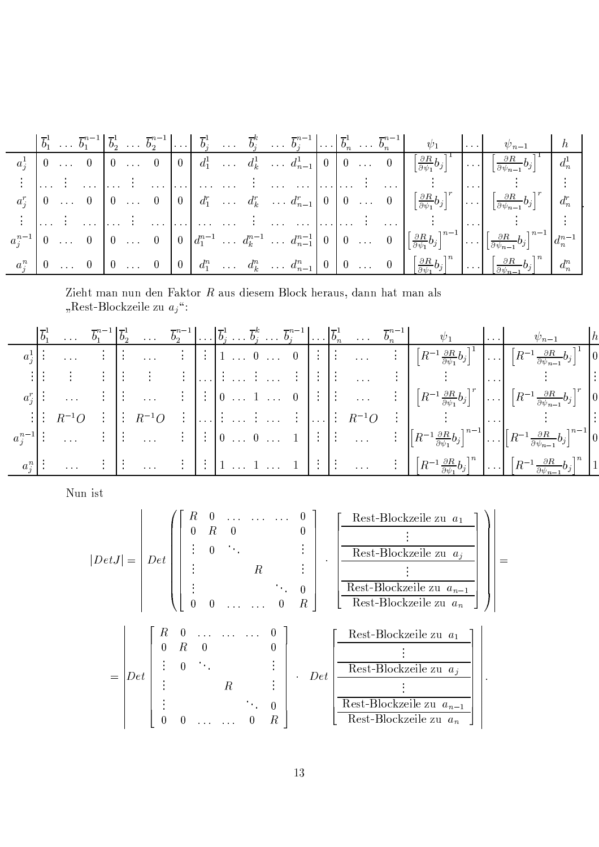|  |  |  |  |  |  |  |  |                                                                               | $\begin{bmatrix} \vec{b}_1^1 & \ldots & \vec{b}_1^{n-1} \end{bmatrix} \vec{b}_2^1 & \ldots & \vec{b}_2^{n-1} \end{bmatrix} \ldots \begin{bmatrix} \vec{b}_j^1 & \ldots & \vec{b}_j^k & \ldots & \vec{b}_j^{n-1} \end{bmatrix} \ldots \begin{bmatrix} \vec{b}_n^1 & \ldots & \vec{b}_n^{n-1} \end{bmatrix} \ldots \begin{bmatrix} \vec{b}_n^1 & \cdots & \vec{b}_n^{n-1} \end{bmatrix} \qquad \psi_1 \qquad \ldots \qquad \psi_{n-1}$                   |  |
|--|--|--|--|--|--|--|--|-------------------------------------------------------------------------------|--------------------------------------------------------------------------------------------------------------------------------------------------------------------------------------------------------------------------------------------------------------------------------------------------------------------------------------------------------------------------------------------------------------------------------------------------------|--|
|  |  |  |  |  |  |  |  |                                                                               | $a_j^1 \left[0 \ldots 0 \right] \left[0 \ldots 0 \right] \left[0 \right] d_1^1 \ldots d_k^1 \ldots d_{n-1}^1 \left[0 \right] \left[0 \ldots 0 \right] \left[\frac{\partial R}{\partial \psi_1} b_j \right]^1 \ldots \left[\frac{\partial R}{\partial \psi_{n-1}} b_j \right]^1$                                                                                                                                                                        |  |
|  |  |  |  |  |  |  |  |                                                                               |                                                                                                                                                                                                                                                                                                                                                                                                                                                        |  |
|  |  |  |  |  |  |  |  |                                                                               |                                                                                                                                                                                                                                                                                                                                                                                                                                                        |  |
|  |  |  |  |  |  |  |  | المسترات فالمستوفي المستوقف والمستحدث فالمستوقف والمستوقف والمستوقف والمستوقف |                                                                                                                                                                                                                                                                                                                                                                                                                                                        |  |
|  |  |  |  |  |  |  |  |                                                                               | $a_j^{n-1}\begin{bmatrix} 0 & \ldots & 0 \end{bmatrix}$ $\begin{bmatrix} 0 & \ldots & 0 \end{bmatrix}$ $\begin{bmatrix} 0 & d_1^{n-1} & \ldots & d_k^{n-1} & \ldots & d_{n-1}^{n-1} \end{bmatrix}$ $\begin{bmatrix} 0 & 0 & \ldots & 0 \end{bmatrix}$ $\begin{bmatrix} \frac{\partial R}{\partial \psi_1}b_j \end{bmatrix}^{n-1}$ $\begin{bmatrix} \ldots \\ \frac{\partial R}{\partial \psi_{n-1}}b_j \end{bmatrix}^{n-1}$ $\begin{bmatrix} d_n^{n-1$ |  |
|  |  |  |  |  |  |  |  |                                                                               | $a_j^n \mid 0 \ldots 0 \mid 0 \ldots 0 \mid 0 \mid d_1^n \ldots d_k^n \ldots d_{n-1}^n \mid 0 \mid 0 \ldots 0 \mid \left[\frac{\partial R}{\partial \psi_1} b_j\right]^n \ldots \mid \left[\frac{\partial R}{\partial \psi_{n-1}} b_j\right]^n \mid$                                                                                                                                                                                                   |  |

=\*A&)"'4(O?<<'KB<\$'&<Yo=d'48.10YX?K%2\$'\*A&25&(e>A.+ #dp"B&)03?K=2jk=\$B?<B<"=?4(O<O?>Q2 :)wu&29456¤e>,.+ cd'a)&\*,>,&uaKY«XW(<E¨

|         |                                                                  |  |                                                                                                                                                                                |  |  |  |  |  | $\left \overline{b}_1^1 \ldots \overline{b}_1^{n-1}\right \overline{b}_2^1 \ldots \overline{b}_2^{n-1} \ldots \left \overline{b}_j^1 \ldots \overline{b}_j^k \ldots \overline{b}_j^{n-1}\right  \ldots \left \overline{b}_n^1 \ldots \overline{b}_n^{n-1}\right  \ldots \psi_1$ | $\ldots$ |                                                                                                                                                                                                                                                                                                                                                                                                                                                                                                              |  |
|---------|------------------------------------------------------------------|--|--------------------------------------------------------------------------------------------------------------------------------------------------------------------------------|--|--|--|--|--|---------------------------------------------------------------------------------------------------------------------------------------------------------------------------------------------------------------------------------------------------------------------------------|----------|--------------------------------------------------------------------------------------------------------------------------------------------------------------------------------------------------------------------------------------------------------------------------------------------------------------------------------------------------------------------------------------------------------------------------------------------------------------------------------------------------------------|--|
|         |                                                                  |  |                                                                                                                                                                                |  |  |  |  |  |                                                                                                                                                                                                                                                                                 |          | $\begin{array}{c} \begin{array}{c} \hline \vdots \end{array} \end{array}$ $\begin{array}{c} \hline \vdots \end{array}$ $\begin{array}{c} \hline \vdots \end{array}$ $\begin{array}{ccc} \hline \vdots \end{array}$ $\begin{array}{ccc} \hline \vdots \end{array}$ $\begin{array}{ccc} \hline \vdots \end{array}$ $\begin{array}{ccc} \hline \vdots \end{array}$ $\begin{array}{ccc} \hline \vdots \end{array}$ $\begin{array}{ccc} \hline \vdots \end{array}$ $\begin{array}{ccc} \hline \vdots \end{array}$ |  |
|         |                                                                  |  |                                                                                                                                                                                |  |  |  |  |  | ang mana ang panahan na mahalalan sa manang manang manang manang manang manang manang manang manang manang man                                                                                                                                                                  |          |                                                                                                                                                                                                                                                                                                                                                                                                                                                                                                              |  |
|         |                                                                  |  |                                                                                                                                                                                |  |  |  |  |  |                                                                                                                                                                                                                                                                                 |          | $a_j^r$ : $\cdots$ : $\begin{bmatrix} \vdots & \dots & \vdots \end{bmatrix}$ : $\begin{bmatrix} 0 & \dots & 1 & \dots & 0 \end{bmatrix}$ : $\begin{bmatrix} \vdots & \dots & \vdots \end{bmatrix}$ $\begin{bmatrix} R^{-1} \frac{\partial R}{\partial \psi_1} b_j \end{bmatrix}^r$ $\cdots$ $\begin{bmatrix} R^{-1} \frac{\partial R}{\partial \psi_{n-1}} b_j \end{bmatrix}^r$ $\begin{bmatrix} 0 \end{bmatrix}$                                                                                            |  |
|         | $\begin{bmatrix} \cdot & \cdot \\ \cdot & R^{-1}O \end{bmatrix}$ |  | $\begin{bmatrix} \vdots & \vdots & R^{-1}O & \vdots & \ldots \end{bmatrix} \vdots \dots \vdots \dots \vdots \dots \vdots \dots \vdots \dots \vdots \quad R^{-1}O \quad \vdots$ |  |  |  |  |  |                                                                                                                                                                                                                                                                                 |          |                                                                                                                                                                                                                                                                                                                                                                                                                                                                                                              |  |
|         |                                                                  |  |                                                                                                                                                                                |  |  |  |  |  |                                                                                                                                                                                                                                                                                 |          | $\begin{array}{c} a_j^{n-1} \end{array}$ : $\begin{array}{c} a_j^{n-1} \end{array}$ : $\begin{array}{c} a_j^{n-1} \end{array}$ $\begin{array}{c} \vdots \\ \end{array}$ $\begin{array}{c} \vdots \\ \end{array}$ $\begin{array}{c} \vdots \\ \end{array}$ $\begin{array}{c} \vdots \\ \end{array}$ $\begin{array}{c} \vdots \\ \end{array}$ $\begin{array}{c} \vdots \\ \end{array}$ $\begin{array}{c} \vdots \\ \end{array}$ $\begin{array}{c} \vdots \\ \end{array}$                                       |  |
| $a_i^n$ |                                                                  |  |                                                                                                                                                                                |  |  |  |  |  |                                                                                                                                                                                                                                                                                 |          | $\ldots$ : $\left  \begin{array}{ccc} \vdots & \vdots \end{array} \right $ : $\left  \begin{array}{ccc} 1 & \ldots & 1 \end{array} \ldots \begin{array}{ccc} 1 & \end{array} \right $ : $\left  \begin{array}{ccc} \vdots & \vdots \end{array} \right $ $\left  \begin{array}{ccc} R^{-1} \frac{\partial R}{\partial \psi_1} b_j \end{array} \right ^{n}$ $\left  \ldots \right $ $\left[ R^{-1} \frac{\partial R}{\partial \psi_{n-1}} b_j \right]^{n}$                                                     |  |

Nun ist

$$
|DetJ| = \begin{vmatrix} R & 0 & \cdots & \cdots & 0 \\ 0 & R & 0 & & & 0 \\ \vdots & & & & \vdots \\ 0 & & & & \vdots \\ 0 & & & & & 0 \\ 0 & 0 & \cdots & \cdots & 0 & R \end{vmatrix} \cdot \frac{\begin{vmatrix} \text{Rest-Blockzeile zu } a_1 \\ \vdots \\ \text{Rest-Blockzeile zu } a_n \end{vmatrix}}{\begin{vmatrix} \text{Rest-Blockzeile zu } a_{n-1} \\ \text{Rest-Blockzeile zu } a_n \end{vmatrix}} \right) =
$$
  
= 
$$
Det \begin{bmatrix} R & 0 & \cdots & \cdots & 0 \\ 0 & R & 0 & & 0 \\ \vdots & & & & \vdots \\ \text{R} & & & \vdots \\ \text{R} & & & \vdots \\ \text{R} & & & \vdots \\ \text{R} & & & \vdots \\ \text{R} & & & \vdots \\ \text{R} & & & \vdots \\ \end{bmatrix} \cdot Det \begin{bmatrix} \text{Rest-Blockzeile zu } a_1 \\ \text{Rest-Blockzeile zu } a_1 \\ \hline \text{Rest-Blockzeile zu } a_{n-1} \\ \hline \text{Rest-Blockzeile zu } a_{n-1} \\ \hline \text{Rest-Blockzeile zu } a_n \end{bmatrix}.
$$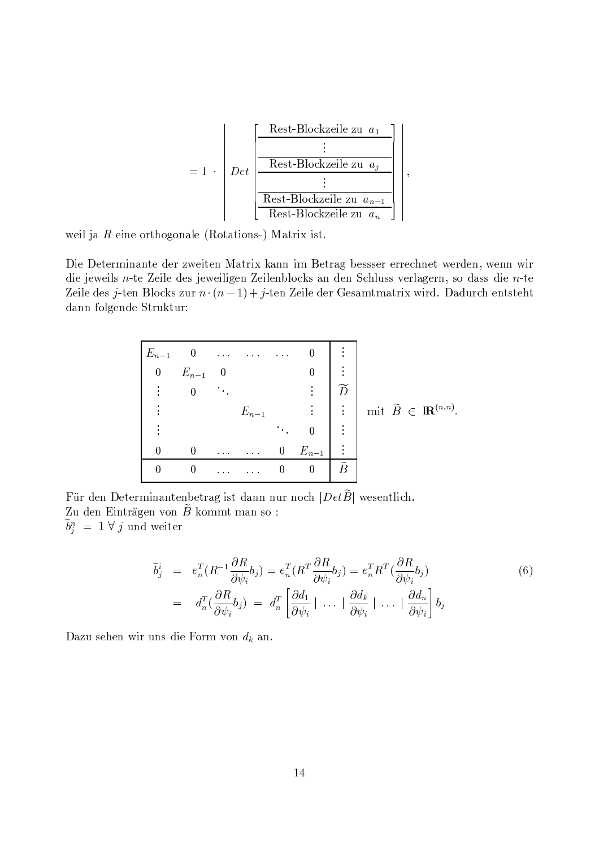

weil ja  $R$  eine orthogonale (Rotations-) Matrix ist.

Die Determinante der zweiten Matrix kann im Betrag bessser errechnet werden, wenn wir die jeweils n-te Zeile des jeweiligen Zeilenblocks an den Schluss verlagern, so dass die n-te Zeile des j-ten Blocks zur  $n \cdot (n-1) + j$ -ten Zeile der Gesamtmatrix wird. Dadurch entsteht dann folgende Struktur:



Für den Determinantenbetrag ist dann nur noch  $|Det\widetilde{B}|$  wesentlich. Zu den Einträgen von  $\tilde{B}$  kommt man so:  $\tilde{b}^n_i = 1 \forall j$  und weiter

$$
\tilde{b}_{j}^{i} = e_{n}^{T} (R^{-1} \frac{\partial R}{\partial \psi_{i}} b_{j}) = e_{n}^{T} (R^{T} \frac{\partial R}{\partial \psi_{i}} b_{j}) = e_{n}^{T} R^{T} (\frac{\partial R}{\partial \psi_{i}} b_{j})
$$
\n
$$
= d_{n}^{T} (\frac{\partial R}{\partial \psi_{i}} b_{j}) = d_{n}^{T} \left[ \frac{\partial d_{1}}{\partial \psi_{i}} \mid \dots \mid \frac{\partial d_{k}}{\partial \psi_{i}} \mid \dots \mid \frac{\partial d_{n}}{\partial \psi_{i}} \right] b_{j}
$$
\n(6)

Dazu sehen wir uns die Form von  $d_k$  an.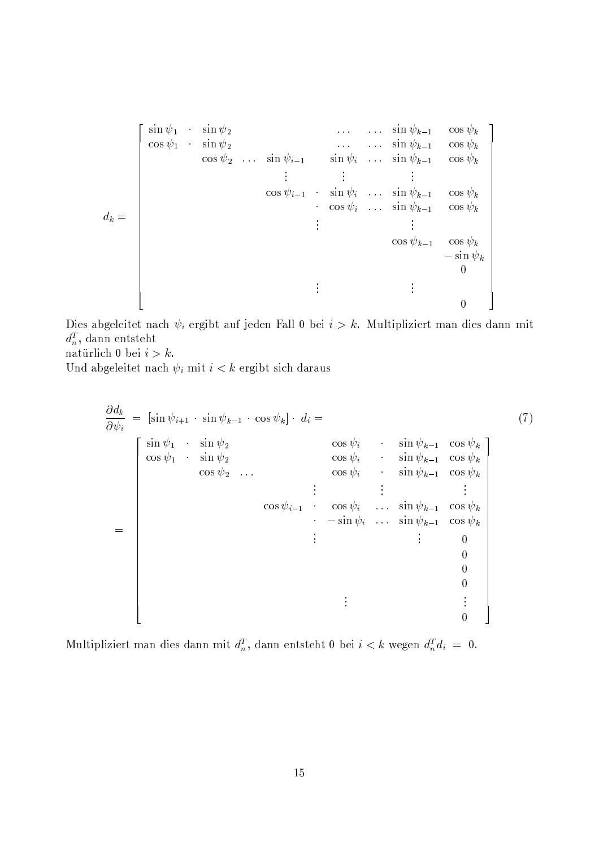$\sin \psi_1$   $\sin \psi_2$ <br>  $\cos \psi_1$   $\sin \psi_2$ <br>  $\cos \psi_2$   $\ldots$   $\sin \psi_{i-1}$ <br>  $\sin \psi_i$   $\ldots$   $\sin \psi_{k-1}$   $\cos \psi_k$ <br>  $\vdots$   $\vdots$   $\vdots$   $\vdots$   $\vdots$   $\cos \psi_{k-1}$   $\cos \psi_k$ <br>  $\cos \psi_i$   $\ldots$   $\sin \psi_{k-1}$   $\cos \psi_k$ <br>  $\vdots$   $\vdots$   $\cos \psi_{k-1}$   $\cos \psi_k$ <br>  $d_k =$  $\overline{0}$ 

Dies abgeleitet nach  $\psi_i$  ergibt auf jeden Fall 0 bei  $i > k$ . Multipliziert man dies dann mit  $d_n^T$ , dann entsteht

natürlich 0 bei  $i > k$ .

Und abgeleitet nach  $\psi_i$  mit  $i < k$  ergibt sich daraus

$$
\frac{\partial d_k}{\partial \psi_i} = \left[\sin \psi_{i+1} \cdot \sin \psi_{k-1} \cdot \cos \psi_k\right] \cdot d_i =
$$
\n
$$
\begin{bmatrix}\n\sin \psi_1 & \sin \psi_2 & \cos \psi_i & \sin \psi_{k-1} & \cos \psi_k \\
\cos \psi_1 & \sin \psi_2 & \cos \psi_i & \sin \psi_{k-1} & \cos \psi_k \\
\cos \psi_2 & \cdots & \cos \psi_i & \sin \psi_{k-1} & \cos \psi_k \\
\vdots & \vdots & \vdots & \vdots \\
\cos \psi_{i-1} & \cos \psi_i & \cdots & \sin \psi_{k-1} & \cos \psi_k \\
\vdots & \vdots & \vdots & \vdots & 0 \\
0 & 0 & 0 & 0 \\
0 & 0 & 0 & 0\n\end{bmatrix}
$$
\n
$$
= \begin{bmatrix}\n(7) \cos \psi_1 & \cos \psi_2 & \sin \psi_{k-1} & \cos \psi_k \\
\cos \psi_2 & \cdots & \cos \psi_i & \sin \psi_{k-1} & \cos \psi_k \\
\vdots & \vdots & \vdots & \vdots \\
0 & 0 & 0\n\end{bmatrix}
$$

Multipliziert man dies dann mit  $d_n^T$ , dann entsteht 0 bei  $i < k$  wegen  $d_n^T d_i = 0$ .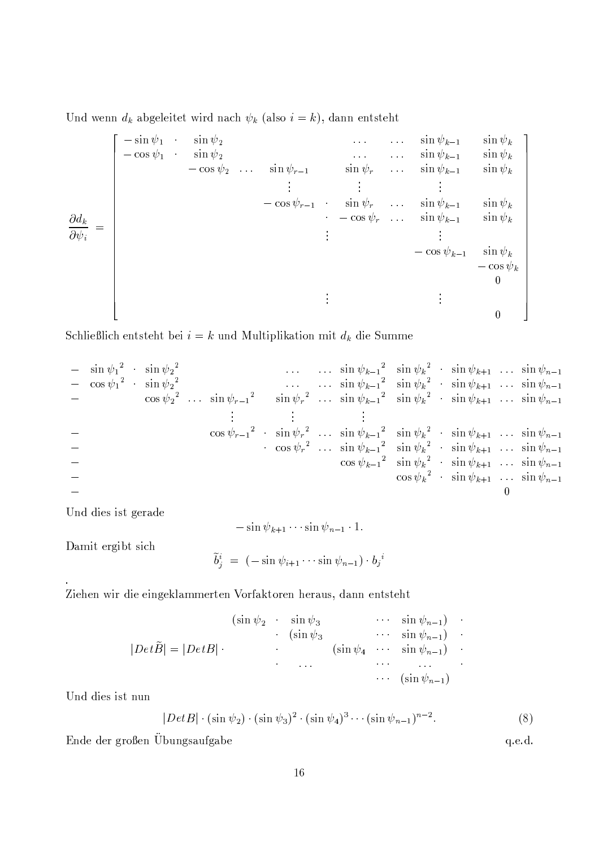Und wenn  $d_k$  abgeleitet wird nach  $\psi_k$  (also  $i = k$ ), dann entsteht

$$
\frac{\partial d_k}{\partial \psi_i} = \begin{bmatrix}\n-\sin \psi_1 & \sin \psi_2 & \cdots & \sin \psi_{k-1} & \sin \psi_k \\
-\cos \psi_1 & \sin \psi_2 & \cdots & \sin \psi_{r-1} & \sin \psi_r & \cdots & \sin \psi_{k-1} & \sin \psi_k \\
\vdots & \vdots & \vdots & \vdots & \vdots & \vdots \\
-\cos \psi_{r-1} & \sin \psi_r & \cdots & \sin \psi_{k-1} & \sin \psi_k \\
\vdots & \vdots & \vdots & \vdots & \vdots \\
-\cos \psi_r & \cdots & \sin \psi_{k-1} & \sin \psi_k \\
\vdots & \vdots & \vdots & \vdots \\
-\cos \psi_{k-1} & \sin \psi_k & -\cos \psi_k \\
0\n\end{bmatrix}
$$

Schließlich entsteht bei $i=k$ und Multiplikation mit $\boldsymbol{d}_k$ die Summe

Und dies ist gerade

 $-\sin \psi_{k+1} \cdots \sin \psi_{n-1} \cdot 1.$ 

Damit ergibt sich

$$
\widetilde{b}_j^i = (-\sin \psi_{i+1} \cdots \sin \psi_{n-1}) \cdot b_j^i
$$

Ziehen wir die eingeklammerten Vorfaktoren heraus, dann entsteht

$$
|\text{Det}\widetilde{B}| = |\text{Det}B| \cdot \begin{array}{cccc} (\sin \psi_2 & \sin \psi_3 & \cdots & \sin \psi_{n-1}) \\ (\sin \psi_3 & \cdots & \sin \psi_{n-1}) \\ & \ddots & \ddots & \ddots & \vdots \\ & \cdots & \cdots & \cdots \\ & \cdots & \cdots & \cdots \\ & & \cdots & (\sin \psi_{n-1}) \end{array}
$$

Und dies ist nun

$$
|Det B| \cdot (\sin \psi_2) \cdot (\sin \psi_3)^2 \cdot (\sin \psi_4)^3 \cdots (\sin \psi_{n-1})^{n-2}.
$$
 (8)

q.e.d.

Ende der großen Übungsaufgabe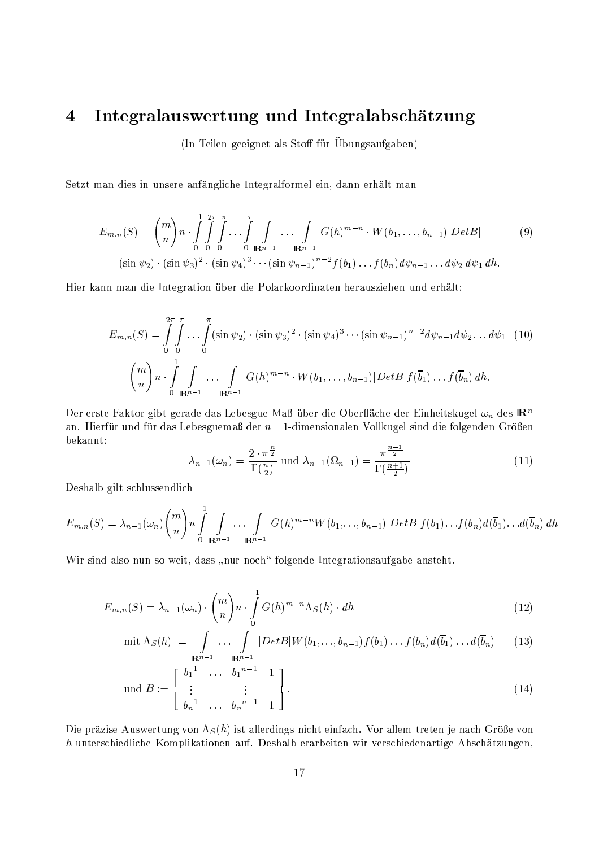#### Integralauswertung und Integralabschätzung  $\overline{4}$

(In Teilen geeignet als Stoff für Übungsaufgaben)

Setzt man dies in unsere anfängliche Integralformel ein, dann erhält man

$$
E_{m,n}(S) = {m \choose n} n \cdot \int_{0}^{1} \int_{0}^{2\pi} \int_{0}^{\pi} \dots \int_{0}^{\pi} \int_{\mathbb{R}^{n-1}} \dots \int_{\mathbb{R}^{n-1}} G(h)^{m-n} \cdot W(b_1, \dots, b_{n-1}) |Det B|
$$
(9)  

$$
(\sin \psi_2) \cdot (\sin \psi_3)^2 \cdot (\sin \psi_4)^3 \cdots (\sin \psi_{n-1})^{n-2} f(\overline{b}_1) \dots f(\overline{b}_n) d\psi_{n-1} \dots d\psi_2 d\psi_1 dh.
$$

Hier kann man die Integration über die Polarkoordinaten herausziehen und erhält:

$$
E_{m,n}(S) = \int_{0}^{2\pi} \int_{0}^{\pi} \dots \int_{0}^{\pi} (\sin \psi_2) \cdot (\sin \psi_3)^2 \cdot (\sin \psi_4)^3 \dots (\sin \psi_{n-1})^{n-2} d\psi_{n-1} d\psi_2 \dots d\psi_1 \quad (10)
$$

$$
{m \choose n} n \cdot \int_{0}^{1} \int_{\mathbb{R}^{n-1}} \dots \int_{\mathbb{R}^{n-1}} G(h)^{m-n} \cdot W(b_1, \dots, b_{n-1}) |Det B| f(\overline{b}_1) \dots f(\overline{b}_n) dh.
$$

Der erste Faktor gibt gerade das Lebesgue-Maß über die Oberfläche der Einheitskugel  $\omega_n$  des  $\mathbb{R}^n$ an. Hierfür und für das Lebesguemaß der  $n-1$ -dimensionalen Vollkugel sind die folgenden Größen bekannt:

$$
\lambda_{n-1}(\omega_n) = \frac{2 \cdot \pi^{\frac{n}{2}}}{\Gamma(\frac{n}{2})} \text{ und } \lambda_{n-1}(\Omega_{n-1}) = \frac{\pi^{\frac{n-1}{2}}}{\Gamma(\frac{n+1}{2})}
$$
\n(11)

Deshalb gilt schlussendlich

$$
E_{m,n}(S) = \lambda_{n-1}(\omega_n) {m \choose n} n \int_{0}^{1} \int_{\mathbb{R}^{n-1}} \ldots \int_{\mathbb{R}^{n-1}} G(h)^{m-n} W(b_1,\ldots,b_{n-1}) |Det B| f(b_1) \ldots f(b_n) d(\overline{b}_1) \ldots d(\overline{b}_n) dh
$$

Wir sind also nun so weit, dass "nur noch" folgende Integrationsaufgabe ansteht.

$$
E_{m,n}(S) = \lambda_{n-1}(\omega_n) \cdot \binom{m}{n} n \cdot \int_0^1 G(h)^{m-n} \Lambda_S(h) \cdot dh \tag{12}
$$

$$
\text{mit } \Lambda_S(h) = \int\limits_{\mathbb{R}^{n-1}} \ldots \int\limits_{\mathbb{R}^{n-1}} |Det B| W(b_1,\ldots,b_{n-1}) f(b_1) \ldots f(b_n) d(\overline{b}_1) \ldots d(\overline{b}_n) \qquad (13)
$$

$$
\text{und } B := \begin{bmatrix} b_1^1 & \dots & b_1^{n-1} & 1 \\ \vdots & & \vdots & \\ b_n^1 & \dots & b_n^{n-1} & 1 \end{bmatrix} . \tag{14}
$$

Die präzise Auswertung von  $\Lambda_S(h)$  ist allerdings nicht einfach. Vor allem treten je nach Größe von  $h$  unterschiedliche Komplikationen auf. Deshalb erarbeiten wir verschiedenartige Abschätzungen,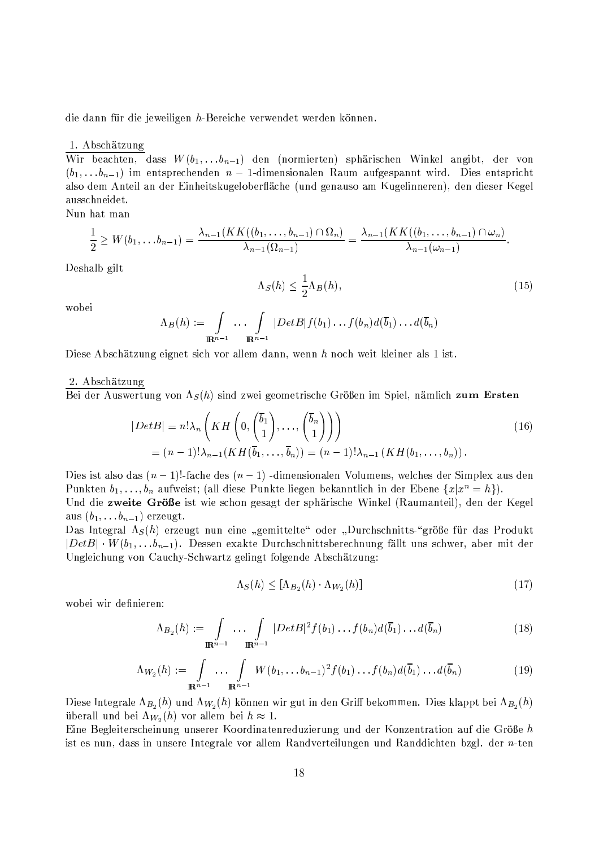die dann für die jeweiligen h-Bereiche verwendet werden können.

### 1. Abschätzung

Wir beachten, dass  $W(b_1,...b_{n-1})$  den (normierten) sphärischen Winkel angibt, der von  $(b_1, \ldots, b_{n-1})$  im entsprechenden  $n-1$ -dimensionalen Raum aufgespannt wird. Dies entspricht also dem Anteil an der Einheitskugeloberfläche (und genauso am Kugelinneren), den dieser Kegel ausschneidet.

Nun hat man

$$
\frac{1}{2} \geq W(b_1, \ldots b_{n-1}) = \frac{\lambda_{n-1}(KK((b_1, \ldots, b_{n-1}) \cap \Omega_n)}{\lambda_{n-1}(\Omega_{n-1})} = \frac{\lambda_{n-1}(KK((b_1, \ldots, b_{n-1}) \cap \omega_n)}{\lambda_{n-1}(\omega_{n-1})}.
$$

Deshalb gilt

$$
\Lambda_S(h) \le \frac{1}{2} \Lambda_B(h),\tag{15}
$$

wobei

$$
\Lambda_B(h) := \int\limits_{\mathbf{R}^{n-1}} \ldots \int\limits_{\mathbf{R}^{n-1}} |DetB| f(b_1) \ldots f(b_n) d(\overline{b}_1) \ldots d(\overline{b}_n)
$$

Diese Abschätzung eignet sich vor allem dann, wenn h noch weit kleiner als 1 ist.

## 2. Abschätzung

Bei der Auswertung von  $\Lambda_S(h)$  sind zwei geometrische Größen im Spiel, nämlich zum Ersten

$$
|Det B| = n! \lambda_n \left( KH \left( 0, \begin{pmatrix} \overline{b}_1 \\ 1 \end{pmatrix}, \dots, \begin{pmatrix} \overline{b}_n \\ 1 \end{pmatrix} \right) \right)
$$
  
=  $(n-1)!\lambda_{n-1} (KH(\overline{b}_1, \dots, \overline{b}_n)) = (n-1)!\lambda_{n-1} (KH(b_1, \dots, b_n)).$  (16)

Dies ist also das  $(n-1)!$ -fache des  $(n-1)$ -dimensionalen Volumens, welches der Simplex aus den Punkten  $b_1, \ldots, b_n$  aufweist; (all diese Punkte liegen bekanntlich in der Ebene  $\{x | x^n = h\}$ ). Und die zweite Größe ist wie schon gesagt der sphärische Winkel (Raumanteil), den der Kegel

aus  $(b_1, \ldots b_{n-1})$  erzeugt.

Das Integral  $\Lambda_S(h)$  erzeugt nun eine "gemittelte" oder "Durchschnitts-"größe für das Produkt  $|DetB| \cdot W(b_1, \ldots b_{n-1})$ . Dessen exakte Durchschnittsberechnung fällt uns schwer, aber mit der Ungleichung von Cauchy-Schwartz gelingt folgende Abschätzung:

$$
\Lambda_S(h) \leq [\Lambda_{B_2}(h) \cdot \Lambda_{W_2}(h)] \tag{17}
$$

wobei wir definieren:

$$
\Lambda_{B_2}(h) := \int\limits_{\mathbb{R}^{n-1}} \ldots \int\limits_{\mathbb{R}^{n-1}} |Det B|^2 f(b_1) \ldots f(b_n) d(\overline{b}_1) \ldots d(\overline{b}_n)
$$
\n(18)

$$
\Lambda_{W_2}(h) := \int\limits_{\mathbb{R}^{n-1}} \ldots \int\limits_{\mathbb{R}^{n-1}} W(b_1, \ldots b_{n-1})^2 f(b_1) \ldots f(b_n) d(\overline{b}_1) \ldots d(\overline{b}_n)
$$
(19)

Diese Integrale  $\Lambda_{B_2}(h)$  und  $\Lambda_{W_2}(h)$  können wir gut in den Griff bekommen. Dies klappt bei  $\Lambda_{B_2}(h)$ überall und bei  $\Lambda_{W_2}(h)$  vor allem bei  $h \approx 1$ .

Eine Begleiterscheinung unserer Koordinatenreduzierung und der Konzentration auf die Größe h ist es nun, dass in unsere Integrale vor allem Randverteilungen und Randdichten bzgl. der n-ten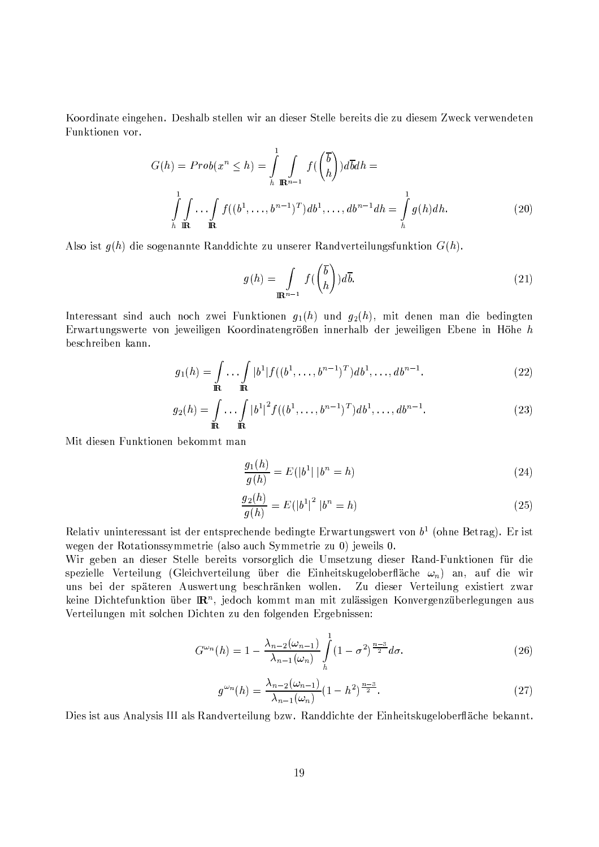Koordinate eingehen. Deshalb stellen wir an dieser Stelle bereits die zu diesem Zweck verwendeten Funktionen vor.

$$
G(h) = Prob(x^n \le h) = \int_{h}^{1} \int_{\mathbf{R}^{n-1}} f(\binom{\overline{b}}{h}) d\overline{b} dh = \int_{h}^{1} \int_{\mathbf{R}^{n}} \cdots \int_{h} f((b^1, \ldots, b^{n-1})^T) db^1, \ldots, db^{n-1} dh = \int_{h}^{1} g(h) dh.
$$
 (20)

Also ist  $g(h)$  die sogenannte Randdichte zu unserer Randverteilungsfunktion  $G(h)$ .

$$
g(h) = \int_{\mathbb{R}^{n-1}} f\left(\frac{\overline{b}}{h}\right) d\overline{b}.
$$
 (21)

Interessant sind auch noch zwei Funktionen  $g_1(h)$  und  $g_2(h)$ , mit denen man die bedingten Erwartungswerte von jeweiligen Koordinatengrößen innerhalb der jeweiligen Ebene in Höhe h beschreiben kann.

$$
g_1(h) = \int_{\mathbf{R}} \cdots \int_{\mathbf{R}} |b^1| f((b^1, \ldots, b^{n-1})^T) db^1, \ldots, db^{n-1}.
$$
 (22)

$$
g_2(h) = \int_{\mathbf{R}} \cdots \int_{\mathbf{R}} |b^1|^2 f((b^1, \ldots, b^{n-1})^T) db^1, \ldots, db^{n-1}.
$$
 (23)

Mit diesen Funktionen bekommt man

$$
\frac{g_1(h)}{g(h)} = E(|b^1| | b^n = h)
$$
\n(24)

$$
\frac{g_2(h)}{g(h)} = E(|b^1|^2 | b^n = h)
$$
\n(25)

Relativ uninteressant ist der entsprechende bedingte Erwartungswert von  $b<sup>1</sup>$  (ohne Betrag). Er ist wegen der Rotationssymmetrie (also auch Symmetrie zu 0) jeweils 0.

Wir geben an dieser Stelle bereits vorsorglich die Umsetzung dieser Rand-Funktionen für die spezielle Verteilung (Gleichverteilung über die Einheitskugeloberfläche  $\omega_n$ ) an, auf die wir uns bei der späteren Auswertung beschränken wollen. Zu dieser Verteilung existiert zwar keine Dichtefunktion über  $\mathbb{R}^n$ , jedoch kommt man mit zulässigen Konvergenzüberlegungen aus Verteilungen mit solchen Dichten zu den folgenden Ergebnissen:

$$
G^{\omega_n}(h) = 1 - \frac{\lambda_{n-2}(\omega_{n-1})}{\lambda_{n-1}(\omega_n)} \int\limits_h^1 (1 - \sigma^2)^{\frac{n-3}{2}} d\sigma.
$$
 (26)

$$
g^{\omega_n}(h) = \frac{\lambda_{n-2}(\omega_{n-1})}{\lambda_{n-1}(\omega_n)} (1 - h^2)^{\frac{n-3}{2}}.
$$
 (27)

Dies ist aus Analysis III als Randverteilung bzw. Randdichte der Einheitskugeloberfläche bekannt.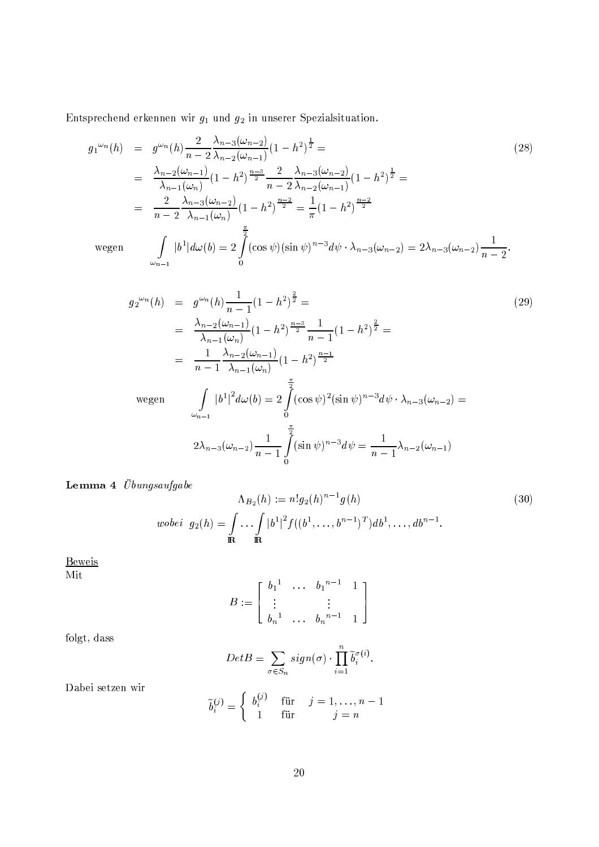Entsprechend erkennen wir $\mathfrak{g}_1$  und  $\mathfrak{g}_2$  in unserer Spezial<br/>situation.

$$
g_1^{\omega_n}(h) = g^{\omega_n}(h) \frac{2}{n-2} \frac{\lambda_{n-3}(\omega_{n-2})}{\lambda_{n-2}(\omega_{n-1})} (1-h^2)^{\frac{1}{2}} =
$$
\n
$$
= \frac{\lambda_{n-2}(\omega_{n-1})}{\lambda_{n-1}(\omega_n)} (1-h^2)^{\frac{n-3}{2}} \frac{2}{n-2} \frac{\lambda_{n-3}(\omega_{n-2})}{\lambda_{n-2}(\omega_{n-1})} (1-h^2)^{\frac{1}{2}} =
$$
\n
$$
= \frac{2}{n-2} \frac{\lambda_{n-3}(\omega_{n-2})}{\lambda_{n-1}(\omega_n)} (1-h^2)^{\frac{n-2}{2}} = \frac{1}{\pi} (1-h^2)^{\frac{n-2}{2}}
$$
\nwegen

\n
$$
\int_{\omega_{n-1}} |b^1| d\omega(b) = 2 \int_0^{\frac{\pi}{2}} (\cos \psi)(\sin \psi)^{n-3} d\psi \cdot \lambda_{n-3}(\omega_{n-2}) = 2\lambda_{n-3}(\omega_{n-2}) \frac{1}{n-2}.
$$
\n(28)

$$
g_2^{\omega_n}(h) = g^{\omega_n}(h) \frac{1}{n-1} (1-h^2)^{\frac{2}{2}} =
$$
\n
$$
= \frac{\lambda_{n-2}(\omega_{n-1})}{\lambda_{n-1}(\omega_n)} (1-h^2)^{\frac{n-3}{2}} \frac{1}{n-1} (1-h^2)^{\frac{2}{2}} =
$$
\n
$$
= \frac{1}{n-1} \frac{\lambda_{n-2}(\omega_{n-1})}{\lambda_{n-1}(\omega_n)} (1-h^2)^{\frac{n-1}{2}}
$$
\n
$$
\text{wegen} \qquad \int_{\omega_{n-1}} |b^1|^2 d\omega(b) = 2 \int_0^{\frac{\pi}{2}} (\cos \psi)^2 (\sin \psi)^{n-3} d\psi \cdot \lambda_{n-3}(\omega_{n-2}) =
$$
\n
$$
2\lambda_{n-3}(\omega_{n-2}) \frac{1}{n-1} \int_0^{\frac{\pi}{2}} (\sin \psi)^{n-3} d\psi = \frac{1}{n-1} \lambda_{n-2}(\omega_{n-1})
$$
\n(29)

Lemma 4 $\ddot{\mathit{U}}\mathit{bungsaufgabe}$ 

$$
\Lambda_{B_2}(h) := n!g_2(h)^{n-1}g(h)
$$
\nwobei

\n
$$
g_2(h) = \int_{\mathbb{R}} \dots \int_{\mathbb{R}} |b^1|^2 f((b^1, \dots, b^{n-1})^T) db^1, \dots, db^{n-1}.
$$
\n(30)

Beweis

Mit

$$
B := \left[ \begin{array}{cccc} b_1^1 & \dots & b_1^{n-1} & 1 \\ \vdots & & \vdots & \\ b_n^1 & \dots & b_n^{n-1} & 1 \end{array} \right]
$$

folgt, dass

$$
Det B = \sum_{\sigma \in S_n} sign(\sigma) \cdot \prod_{i=1}^n \tilde{b}_i^{\sigma(i)}.
$$

Dabei setzen wir

$$
\widetilde{b}_i^{(j)} = \begin{cases} b_i^{(j)} & \text{für } j = 1, \dots, n-1 \\ 1 & \text{für } j = n \end{cases}
$$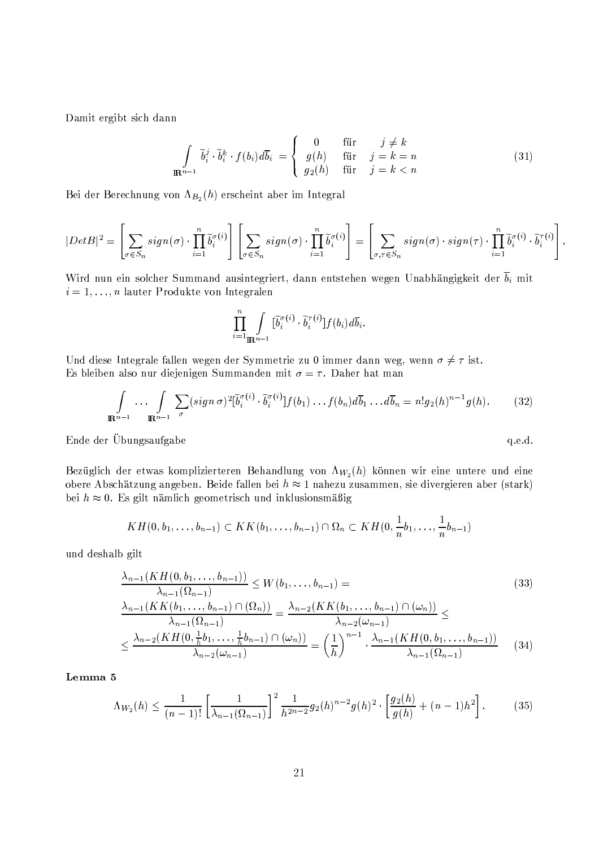Damit ergibt sich dann

$$
\int_{\mathbb{R}^{n-1}} \widetilde{b}_i^j \cdot \widetilde{b}_i^k \cdot f(b_i) d\overline{b}_i = \begin{cases} 0 & \text{für } j \neq k \\ g(h) & \text{für } j = k = n \\ g_2(h) & \text{für } j = k < n \end{cases} \tag{31}
$$

Bei der Berechnung von  $\Lambda_{B_2}(h)$  erscheint aber im Integral

$$
|Det B|^2 = \left[\sum_{\sigma \in S_n} sign(\sigma) \cdot \prod_{i=1}^n \tilde{b}_i^{\sigma(i)}\right] \left[\sum_{\sigma \in S_n} sign(\sigma) \cdot \prod_{i=1}^n \tilde{b}_i^{\sigma(i)}\right] = \left[\sum_{\sigma, \tau \in S_n} sign(\sigma) \cdot sign(\tau) \cdot \prod_{i=1}^n \tilde{b}_i^{\sigma(i)} \cdot \tilde{b}_i^{\tau(i)}\right]
$$

Wird nun ein solcher Summand ausintegriert, dann entstehen wegen Unabhängigkeit der  $\overline{b}_i$  mit  $i=1,\ldots,n$  lauter Produkte von Integralen

$$
\prod_{i=1}^n \int_{\mathbb{R}^{n-1}} [\widetilde{b}_i^{\sigma(i)} \cdot \widetilde{b}_i^{\tau(i)}] f(b_i) d\overline{b}_i.
$$

Und diese Integrale fallen wegen der Symmetrie zu 0 immer dann weg, wenn  $\sigma \neq \tau$  ist. Es bleiben also nur diejenigen Summanden mit  $\sigma = \tau$ . Daher hat man

$$
\int_{\mathbb{R}^{n-1}} \ldots \int_{\mathbb{R}^{n-1}} \sum_{\sigma} (sign \, \sigma)^2 [\tilde{b}_i^{\sigma(i)} \cdot \tilde{b}_i^{\sigma(i)}] f(b_1) \ldots f(b_n) d\overline{b}_1 \ldots d\overline{b}_n = n! g_2(h)^{n-1} g(h). \tag{32}
$$

q.e.d.

Ende der Übungsaufgabe

Bezüglich der etwas komplizierteren Behandlung von  $\Lambda_{W_2}(h)$  können wir eine untere und eine obere Abschätzung angeben. Beide fallen bei  $h \approx 1$  nahezu zusammen, sie divergieren aber (stark) bei  $h \approx 0$ . Es gilt nämlich geometrisch und inklusionsmäßig

$$
KH(0,b_1,\ldots,b_{n-1})\subset KK(b_1,\ldots,b_{n-1})\cap\Omega_n\subset KH(0,\frac{1}{n}b_1,\ldots,\frac{1}{n}b_{n-1})
$$

und deshalb gilt

$$
\frac{\lambda_{n-1}(KH(0, b_1, \ldots, b_{n-1}))}{\lambda_{n-1}(\Omega_{n-1})} \leq W(b_1, \ldots, b_{n-1}) =
$$
\n
$$
\frac{\lambda_{n-1}(KK(b_1, \ldots, b_{n-1}) \cap (\Omega_n))}{\lambda_{n-1}(\Omega_{n-1})} = \frac{\lambda_{n-2}(KK(b_1, \ldots, b_{n-1}) \cap (\omega_n))}{\lambda_{n-2}(\omega_{n-1})} \leq
$$
\n
$$
\leq \frac{\lambda_{n-2}(KH(0, \frac{1}{h}b_1, \ldots, \frac{1}{h}b_{n-1}) \cap (\omega_n))}{\lambda_{n-2}(\omega_{n-1})} = \left(\frac{1}{h}\right)^{n-1} \cdot \frac{\lambda_{n-1}(KH(0, b_1, \ldots, b_{n-1}))}{\lambda_{n-1}(\Omega_{n-1})} \tag{34}
$$

Lemma 5

$$
\Lambda_{W_2}(h) \le \frac{1}{(n-1)!} \left[ \frac{1}{\lambda_{n-1}(\Omega_{n-1})} \right]^2 \frac{1}{h^{2n-2}} g_2(h)^{n-2} g(h)^2 \cdot \left[ \frac{g_2(h)}{g(h)} + (n-1)h^2 \right]. \tag{35}
$$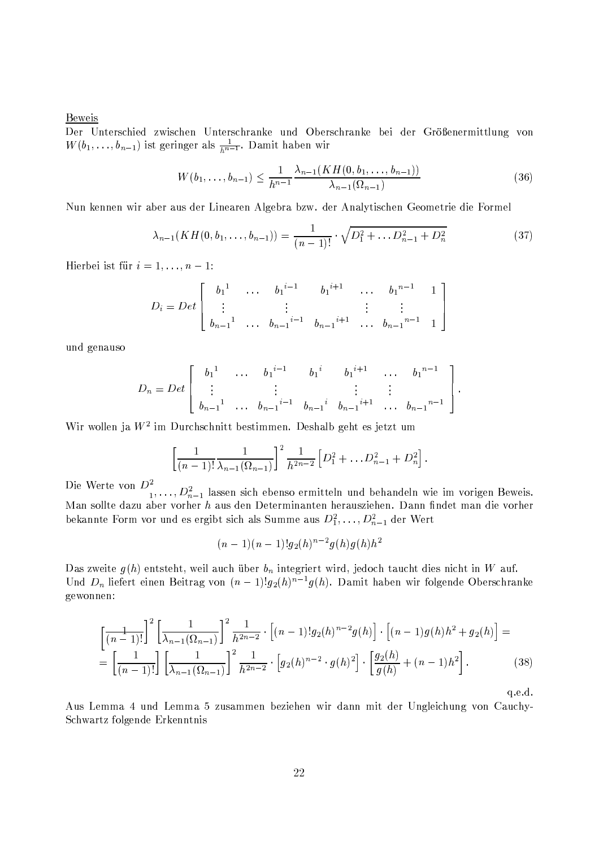**Beweis** 

Der Unterschied zwischen Unterschranke und Oberschranke bei der Größenermittlung von  $W(b_1,\ldots,b_{n-1})$  ist geringer als  $\frac{1}{h^{n-1}}$ . Damit haben wir

$$
W(b_1, \ldots, b_{n-1}) \le \frac{1}{h^{n-1}} \frac{\lambda_{n-1}(KH(0, b_1, \ldots, b_{n-1}))}{\lambda_{n-1}(\Omega_{n-1})}
$$
(36)

Nun kennen wir aber aus der Linearen Algebra bzw. der Analytischen Geometrie die Formel

$$
\lambda_{n-1}(KH(0, b_1, \dots, b_{n-1})) = \frac{1}{(n-1)!} \cdot \sqrt{D_1^2 + \dots D_{n-1}^2 + D_n^2}
$$
(37)

Hierbei ist für  $i = 1, \ldots, n - 1$ :

$$
D_i = Det \begin{bmatrix} b_1^{-1} & \dots & b_1^{i-1} & b_1^{i+1} & \dots & b_1^{n-1} & 1 \\ \vdots & & \vdots & & \vdots & \vdots \\ b_{n-1}^{-1} & \dots & b_{n-1}^{-i-1} & b_{n-1}^{-i+1} & \dots & b_{n-1}^{-n-1} & 1 \end{bmatrix}
$$

und genauso

$$
D_n = Det \begin{bmatrix} b_1^{1} & \cdots & b_1^{i-1} & b_1^{i} & b_1^{i+1} & \cdots & b_1^{n-1} \\ \vdots & \vdots & \vdots & \vdots & \vdots \\ b_{n-1}^{1} & \cdots & b_{n-1}^{i-1} & b_{n-1}^{i} & b_{n-1}^{i+1} & \cdots & b_{n-1}^{n-1} \end{bmatrix}.
$$

Wir wollen ja  $W^2$  im Durchschnitt bestimmen. Deshalb geht es jetzt um

$$
\left[\frac{1}{(n-1)!}\frac{1}{\lambda_{n-1}(\Omega_{n-1})}\right]^2\frac{1}{h^{2n-2}}\left[D_1^2+\ldots D_{n-1}^2+D_n^2\right].
$$

Die Werte von  $D^2_{1}, \ldots, D^2_{n-1}$  lassen sich ebenso ermitteln und behandeln wie im vorigen Beweis. Man sollte dazu aber vorher h aus den Determinanten herausziehen. Dann findet man die vorher bekannte Form vor und es ergibt sich als Summe aus  $D_1^2, \ldots, D_{n-1}^2$  der Wert

$$
(n-1)(n-1)!g_2(h)^{n-2}g(h)g(h)h^2
$$

Das zweite  $g(h)$  entsteht, weil auch über  $b_n$  integriert wird, jedoch taucht dies nicht in W auf. Und  $D_n$  liefert einen Beitrag von  $(n-1)!g_2(h)^{n-1}g(h)$ . Damit haben wir folgende Oberschranke gewonnen:

$$
\left[\frac{1}{(n-1)!}\right]^2 \left[\frac{1}{\lambda_{n-1}(\Omega_{n-1})}\right]^2 \frac{1}{h^{2n-2}} \cdot \left[(n-1)!g_2(h)^{n-2}g(h)\right] \cdot \left[(n-1)g(h)h^2 + g_2(h)\right] =
$$
\n
$$
= \left[\frac{1}{(n-1)!}\right] \left[\frac{1}{\lambda_{n-1}(\Omega_{n-1})}\right]^2 \frac{1}{h^{2n-2}} \cdot \left[g_2(h)^{n-2} \cdot g(h)^2\right] \cdot \left[\frac{g_2(h)}{g(h)} + (n-1)h^2\right].
$$
\n(38)

 $q.e.d.$ 

Aus Lemma 4 und Lemma 5 zusammen beziehen wir dann mit der Ungleichung von Cauchy-Schwartz folgende Erkenntnis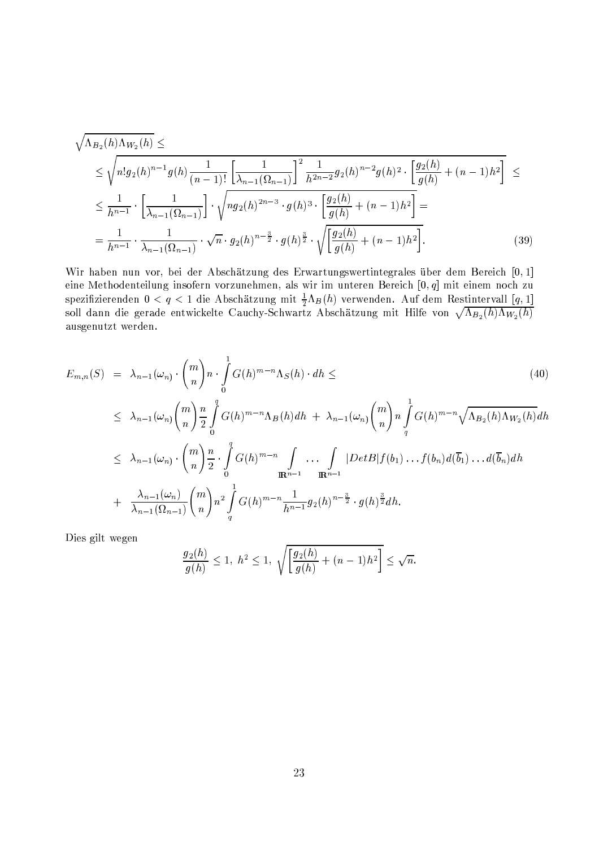$$
\sqrt{\Lambda_{B_2}(h)\Lambda_{W_2}(h)} \leq \sqrt{n!g_2(h)^{n-1}g(h)\frac{1}{(n-1)!}\left[\frac{1}{\lambda_{n-1}(\Omega_{n-1})}\right]^2\frac{1}{h^{2n-2}}g_2(h)^{n-2}g(h)^2 \cdot \left[\frac{g_2(h)}{g(h)} + (n-1)h^2\right]} \leq
$$
\n
$$
\leq \frac{1}{h^{n-1}} \cdot \left[\frac{1}{\lambda_{n-1}(\Omega_{n-1})}\right] \cdot \sqrt{n g_2(h)^{2n-3} \cdot g(h)^3 \cdot \left[\frac{g_2(h)}{g(h)} + (n-1)h^2\right]} =
$$
\n
$$
= \frac{1}{h^{n-1}} \cdot \frac{1}{\lambda_{n-1}(\Omega_{n-1})} \cdot \sqrt{n} \cdot g_2(h)^{n-\frac{3}{2}} \cdot g(h)^{\frac{3}{2}} \cdot \sqrt{\left[\frac{g_2(h)}{g(h)} + (n-1)h^2\right]}.
$$
\n(39)

Wir haben nun vor, bei der Abschätzung des Erwartungswertintegrales über dem Bereich [0,1] eine Methodenteilung insofern vorzunehmen, als wir im unteren Bereich  $[0, q]$  mit einem noch zu spezifizierenden  $0 < q < 1$  die Abschätzung mit  $\frac{1}{2}\Lambda_B(h)$  verwenden. Auf dem Restintervall [q, 1]<br>soll dann die gerade entwickelte Cauchy-Schwartz Abschätzung mit Hilfe von  $\sqrt{\Lambda_{B_2}(h)\Lambda_{W_2}(h)}$ ausgenutzt werden.

$$
E_{m,n}(S) = \lambda_{n-1}(\omega_n) \cdot {m \choose n} n \cdot \int_0^1 G(h)^{m-n} \Lambda_S(h) \cdot dh \leq
$$
\n
$$
\leq \lambda_{n-1}(\omega_n) {m \choose n} \frac{n}{2} \int_0^q G(h)^{m-n} \Lambda_B(h) dh + \lambda_{n-1}(\omega_n) {m \choose n} n \int_q^1 G(h)^{m-n} \sqrt{\Lambda_{B_2}(h) \Lambda_{W_2}(h)} dh
$$
\n
$$
\leq \lambda_{n-1}(\omega_n) \cdot {m \choose n} \frac{n}{2} \cdot \int_0^q G(h)^{m-n} \int_{\mathbb{R}^{n-1}} \dots \int_{\mathbb{R}^{n-1}} |DetB| f(b_1) \dots f(b_n) d(\overline{b}_1) \dots d(\overline{b}_n) dh
$$
\n
$$
+ \frac{\lambda_{n-1}(\omega_n)}{\lambda_{n-1}(\Omega_{n-1})} {m \choose n} n^2 \int_q^1 G(h)^{m-n} \frac{1}{h^{n-1}} g_2(h)^{n-\frac{3}{2}} \cdot g(h)^{\frac{3}{2}} dh.
$$
\n(40)

Dies gilt wegen

$$
\frac{g_2(h)}{g(h)} \le 1, \ h^2 \le 1, \ \sqrt{\left[\frac{g_2(h)}{g(h)} + (n-1)h^2\right]} \le \sqrt{n}.
$$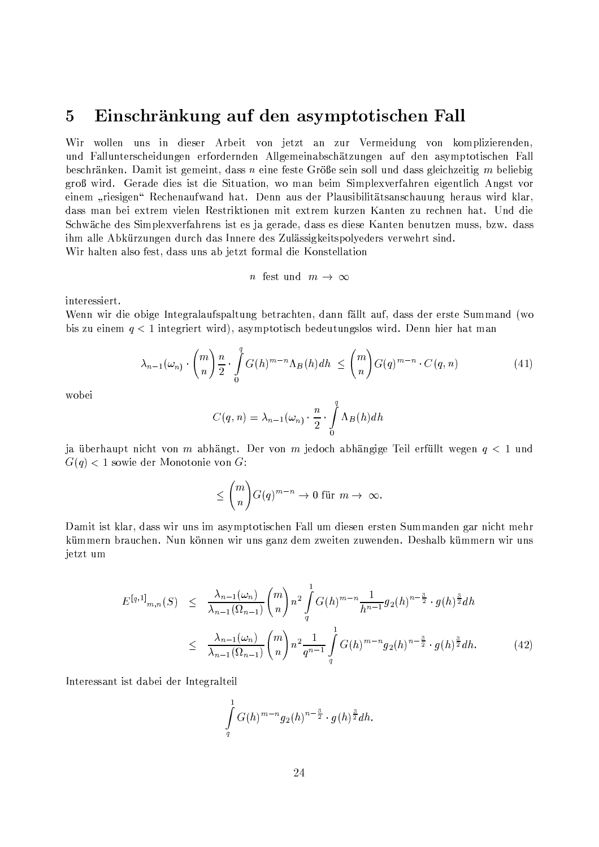#### Einschränkung auf den asymptotischen Fall  $\overline{5}$

Wir wollen uns in dieser Arbeit von jetzt an zur Vermeidung von komplizierenden, und Fallunterscheidungen erfordernden Allgemeinabschätzungen auf den asymptotischen Fall beschränken. Damit ist gemeint, dass  $n$  eine feste Größe sein soll und dass gleichzeitig  $m$  beliebig groß wird. Gerade dies ist die Situation, wo man beim Simplexverfahren eigentlich Angst vor einem "riesigen" Rechenaufwand hat. Denn aus der Plausibilitätsanschauung heraus wird klar, dass man bei extrem vielen Restriktionen mit extrem kurzen Kanten zu rechnen hat. Und die Schwäche des Simplexverfahrens ist es ja gerade, dass es diese Kanten benutzen muss, bzw. dass ihm alle Abkürzungen durch das Innere des Zulässigkeitspolyeders verwehrt sind. Wir halten also fest, dass uns ab jetzt formal die Konstellation

$$
n \ \ \text{fest} \ \ \text{und} \quad m \ \to \ \infty
$$

interessiert.

Wenn wir die obige Integralaufspaltung betrachten, dann fällt auf, dass der erste Summand (wo bis zu einem  $q < 1$  integriert wird), asymptotisch bedeutungslos wird. Denn hier hat man

$$
\lambda_{n-1}(\omega_n) \cdot \binom{m}{n} \frac{n}{2} \cdot \int\limits_0^q G(h)^{m-n} \Lambda_B(h) dh \leq \binom{m}{n} G(q)^{m-n} \cdot C(q,n) \tag{41}
$$

wobei

$$
C(q, n) = \lambda_{n-1}(\omega_n) \cdot \frac{n}{2} \cdot \int_{0}^{q} \Lambda_B(h) dh
$$

ja überhaupt nicht von m abhängt. Der von m jedoch abhängige Teil erfüllt wegen  $q < 1$  und  $G(q)$  < 1 sowie der Monotonie von G:

$$
\leq {m \choose n} G(q)^{m-n} \to 0 \text{ für } m \to \infty.
$$

Damit ist klar, dass wir uns im asymptotischen Fall um diesen ersten Summanden gar nicht mehr kümmern brauchen. Nun können wir uns ganz dem zweiten zuwenden. Deshalb kümmern wir uns jetzt um

$$
E^{[q,1]}_{m,n}(S) \leq \frac{\lambda_{n-1}(\omega_n)}{\lambda_{n-1}(\Omega_{n-1})} {m \choose n} n^2 \int_q^1 G(h)^{m-n} \frac{1}{h^{n-1}} g_2(h)^{n-\frac{3}{2}} \cdot g(h)^{\frac{3}{2}} dh
$$
  

$$
\leq \frac{\lambda_{n-1}(\omega_n)}{\lambda_{n-1}(\Omega_{n-1})} {m \choose n} n^2 \frac{1}{q^{n-1}} \int_q^1 G(h)^{m-n} g_2(h)^{n-\frac{3}{2}} \cdot g(h)^{\frac{3}{2}} dh. \tag{42}
$$

Interessant ist dabei der Integralteil

$$
\int\limits_{q}^{1}G(h)^{m-n}g_{2}(h)^{n-\frac{3}{2}}\cdot g(h)^{\frac{3}{2}}dh.
$$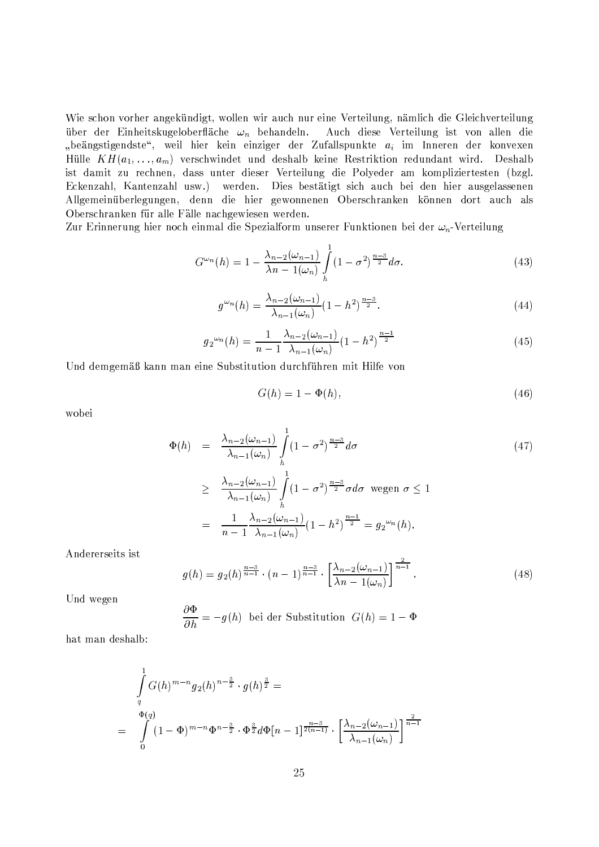Wie schon vorher angekündigt, wollen wir auch nur eine Verteilung, nämlich die Gleichverteilung über der Einheitskugeloberfläche  $\omega_n$  behandeln. Auch diese Verteilung ist von allen die "beängstigendste", weil hier kein einziger der Zufallspunkte  $a_i$  im Inneren der konvexen Hülle  $KH(a_1, \ldots, a_m)$  verschwindet und deshalb keine Restriktion redundant wird. Deshalb ist damit zu rechnen, dass unter dieser Verteilung die Polyeder am kompliziertesten (bzgl. Eckenzahl, Kantenzahl usw.) werden. Dies bestätigt sich auch bei den hier ausgelassenen Allgemeinüberlegungen, denn die hier gewonnenen Oberschranken können dort auch als Oberschranken für alle Fälle nachgewiesen werden.

Zur Erinnerung hier noch einmal die Spezialform unserer Funktionen bei der  $\omega_n$ -Verteilung

$$
G^{\omega_n}(h) = 1 - \frac{\lambda_{n-2}(\omega_{n-1})}{\lambda n - 1(\omega_n)} \int\limits_h^1 (1 - \sigma^2)^{\frac{n-3}{2}} d\sigma. \tag{43}
$$

$$
g^{\omega_n}(h) = \frac{\lambda_{n-2}(\omega_{n-1})}{\lambda_{n-1}(\omega_n)} (1 - h^2)^{\frac{n-3}{2}}.
$$
\n(44)

$$
g_2^{\omega_n}(h) = \frac{1}{n-1} \frac{\lambda_{n-2}(\omega_{n-1})}{\lambda_{n-1}(\omega_n)} (1-h^2)^{\frac{n-1}{2}}
$$
(45)

Und demgemäß kann man eine Substitution durchführen mit Hilfe von

$$
G(h) = 1 - \Phi(h),\tag{46}
$$

wobei

$$
\Phi(h) = \frac{\lambda_{n-2}(\omega_{n-1})}{\lambda_{n-1}(\omega_n)} \int_{h}^{1} (1 - \sigma^2)^{\frac{n-3}{2}} d\sigma
$$
\n
$$
\geq \frac{\lambda_{n-2}(\omega_{n-1})}{\lambda_{n-1}(\omega_n)} \int_{h}^{1} (1 - \sigma^2)^{\frac{n-3}{2}} \sigma d\sigma \text{ wegen } \sigma \leq 1
$$
\n
$$
= \frac{1}{n-1} \frac{\lambda_{n-2}(\omega_{n-1})}{\lambda_{n-1}(\omega_n)} (1 - h^2)^{\frac{n-1}{2}} = g_2^{\omega_n}(h).
$$
\n(47)

Andererseits ist

$$
g(h) = g_2(h)^{\frac{n-3}{n-1}} \cdot (n-1)^{\frac{n-3}{n-1}} \cdot \left[ \frac{\lambda_{n-2}(\omega_{n-1})}{\lambda n - 1(\omega_n)} \right]^{\frac{2}{n-1}}.
$$
 (48)

Und wegen

$$
\frac{\partial \Phi}{\partial h} = -g(h)
$$
bei der Substitution  $G(h) = 1 - \Phi$ 

hat man deshalb:

$$
\int_{q}^{1} G(h)^{m-n} g_2(h)^{n-\frac{3}{2}} \cdot g(h)^{\frac{3}{2}} =
$$
\n
$$
= \int_{0}^{\Phi(q)} (1 - \Phi)^{m-n} \Phi^{n-\frac{3}{2}} \cdot \Phi^{\frac{3}{2}} d\Phi[n-1]^{\frac{n-3}{2(n-1)}} \cdot \left[ \frac{\lambda_{n-2}(\omega_{n-1})}{\lambda_{n-1}(\omega_n)} \right]^{\frac{2}{n-1}}
$$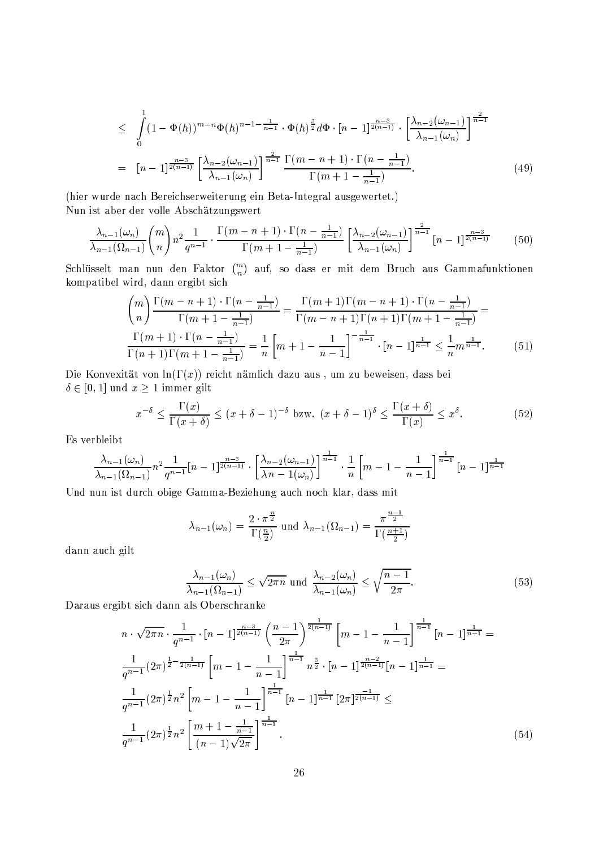$$
\leq \int_{0}^{1} (1 - \Phi(h))^{m-n} \Phi(h)^{n-1-\frac{1}{n-1}} \cdot \Phi(h)^{\frac{3}{2}} d\Phi \cdot [n-1]^{\frac{n-3}{2(n-1)}} \cdot \left[\frac{\lambda_{n-2}(\omega_{n-1})}{\lambda_{n-1}(\omega_n)}\right]^{\frac{2}{n-1}}
$$
  
=  $[n-1]^{\frac{n-3}{2(n-1)}} \left[\frac{\lambda_{n-2}(\omega_{n-1})}{\lambda_{n-1}(\omega_n)}\right]^{\frac{2}{n-1}} \frac{\Gamma(m-n+1) \cdot \Gamma(n-\frac{1}{n-1})}{\Gamma(m+1-\frac{1}{n-1})}.$  (49)

(hier wurde nach Bereichserweiterung ein Beta-Integral ausgewertet.) Nun ist aber der volle Abschätzungswert

$$
\frac{\lambda_{n-1}(\omega_n)}{\lambda_{n-1}(\Omega_{n-1})} \binom{m}{n} n^2 \frac{1}{q^{n-1}} \cdot \frac{\Gamma(m-n+1) \cdot \Gamma(n-\frac{1}{n-1})}{\Gamma(m+1-\frac{1}{n-1})} \left[ \frac{\lambda_{n-2}(\omega_{n-1})}{\lambda_{n-1}(\omega_n)} \right]^{\frac{2}{n-1}} [n-1]^{\frac{n-3}{2(n-1)}} \tag{50}
$$

Schlüsselt man nun den Faktor  $\binom{m}{n}$  auf, so dass er mit dem Bruch aus Gammafunktionen kompatibel wird, dann ergibt sich

$$
\binom{m}{n} \frac{\Gamma(m-n+1) \cdot \Gamma(n-\frac{1}{n-1})}{\Gamma(m+1-\frac{1}{n-1})} = \frac{\Gamma(m+1)\Gamma(m-n+1) \cdot \Gamma(n-\frac{1}{n-1})}{\Gamma(m-n+1)\Gamma(n+1-\frac{1}{n-1})} = \frac{\Gamma(m+1) \cdot \Gamma(n-\frac{1}{n-1})}{\Gamma(n+1)\Gamma(m+1-\frac{1}{n-1})} = \frac{1}{n} \left[ m+1 - \frac{1}{n-1} \right]^{-\frac{1}{n-1}} \cdot [n-1]^{\frac{1}{n-1}} \le \frac{1}{n} m^{\frac{1}{n-1}}.
$$
 (51)

Die Konvexität von ln( $\Gamma(x)$ ) reicht nämlich dazu aus, um zu beweisen, dass bei  $\delta \in [0,1]$  und  $x \ge 1$  immer gilt

$$
x^{-\delta} \le \frac{\Gamma(x)}{\Gamma(x+\delta)} \le (x+\delta-1)^{-\delta} \text{ bzw. } (x+\delta-1)^{\delta} \le \frac{\Gamma(x+\delta)}{\Gamma(x)} \le x^{\delta}.
$$
 (52)

Es verbleibt

$$
\frac{\lambda_{n-1}(\omega_n)}{\lambda_{n-1}(\Omega_{n-1})} n^2 \frac{1}{q^{n-1}} [n-1]^{\frac{n-3}{2(n-1)}} \cdot \left[ \frac{\lambda_{n-2}(\omega_{n-1})}{\lambda_n - 1(\omega_n)} \right]^{\frac{1}{n-1}} \cdot \frac{1}{n} \left[ m-1 - \frac{1}{n-1} \right]^{\frac{1}{n-1}} [n-1]^{\frac{1}{n-1}}
$$

Und nun ist durch obige Gamma-Beziehung auch noch klar, dass mit

$$
\lambda_{n-1}(\omega_n) = \frac{2 \cdot \pi^{\frac{n}{2}}}{\Gamma(\frac{n}{2})} \text{ und } \lambda_{n-1}(\Omega_{n-1}) = \frac{\pi^{\frac{n-1}{2}}}{\Gamma(\frac{n+1}{2})}
$$

dann auch gilt

$$
\frac{\lambda_{n-1}(\omega_n)}{\lambda_{n-1}(\Omega_{n-1})} \le \sqrt{2\pi n} \text{ und } \frac{\lambda_{n-2}(\omega_n)}{\lambda_{n-1}(\omega_n)} \le \sqrt{\frac{n-1}{2\pi}}.
$$
\n(53)

Daraus ergibt sich dann als Oberschranke

$$
n \cdot \sqrt{2\pi n} \cdot \frac{1}{q^{n-1}} \cdot [n-1]^{\frac{n-3}{2(n-1)}} \left(\frac{n-1}{2\pi}\right)^{\frac{1}{2(n-1)}} \left[m-1-\frac{1}{n-1}\right]^{\frac{1}{n-1}} [n-1]^{\frac{1}{n-1}} =
$$
  

$$
\frac{1}{q^{n-1}} (2\pi)^{\frac{1}{2} - \frac{1}{2(n-1)}} \left[m-1-\frac{1}{n-1}\right]^{\frac{1}{n-1}} n^{\frac{3}{2}} \cdot [n-1]^{\frac{n-2}{2(n-1)}} [n-1]^{\frac{1}{n-1}} =
$$
  

$$
\frac{1}{q^{n-1}} (2\pi)^{\frac{1}{2}} n^2 \left[m-1-\frac{1}{n-1}\right]^{\frac{1}{n-1}} [n-1]^{\frac{1}{n-1}} [2\pi]^{\frac{-1}{2(n-1)}} \le
$$
  

$$
\frac{1}{q^{n-1}} (2\pi)^{\frac{1}{2}} n^2 \left[\frac{m+1-\frac{1}{n-1}}{(n-1)\sqrt{2\pi}}\right]^{\frac{1}{n-1}}.
$$
 (54)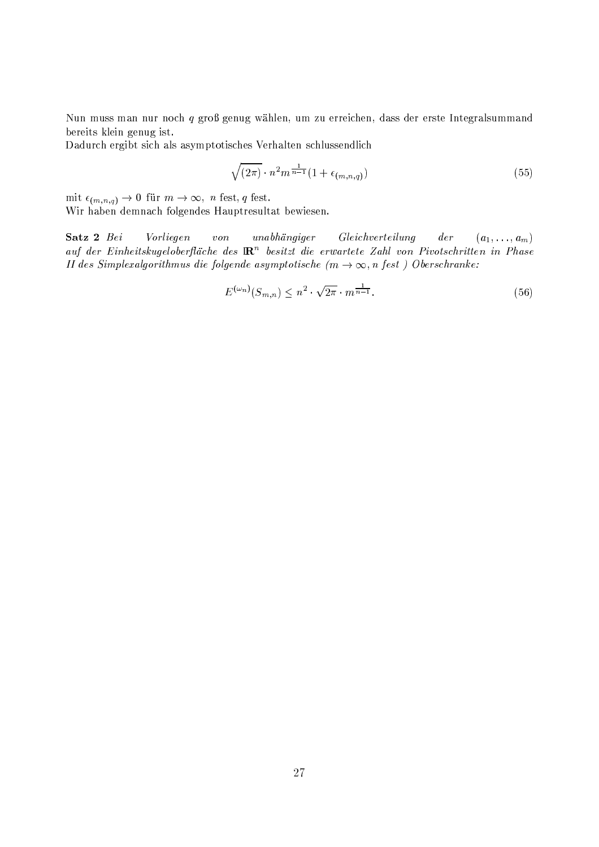Nun muss man nur noch q groß genug wählen, um zu erreichen, dass der erste Integralsummand bereits klein genug ist.

Dadurch ergibt sich als asymptotisches Verhalten schlussendlich

$$
\sqrt{(2\pi)} \cdot n^2 m^{\frac{1}{n-1}} (1 + \epsilon_{(m,n,q)}) \tag{55}
$$

 $\text{mit } \epsilon_{(m,n,q)} \rightarrow 0 \text{ für } m \rightarrow \infty, \text{ } n \text{ fest, } q \text{ fest}.$ Wir haben demnach folgendes Hauptresultat bewiesen.

 $(a_1,\ldots,a_m)$ Satz 2 Bei Vorliegen  $von$  $unabhängiger$  $Gleichvert e ilung$  $der$ auf der Einheitskugeloberfläche des  $\mathbb{R}^n$  besitzt die erwartete Zahl von Pivotschritten in Phase II des Simplexalgorithmus die folgende asymptotische  $(m \to \infty, n \text{ fest})$  Oberschranke:

$$
E^{(\omega_n)}(S_{m,n}) \le n^2 \cdot \sqrt{2\pi} \cdot m^{\frac{1}{n-1}}.
$$
\n(56)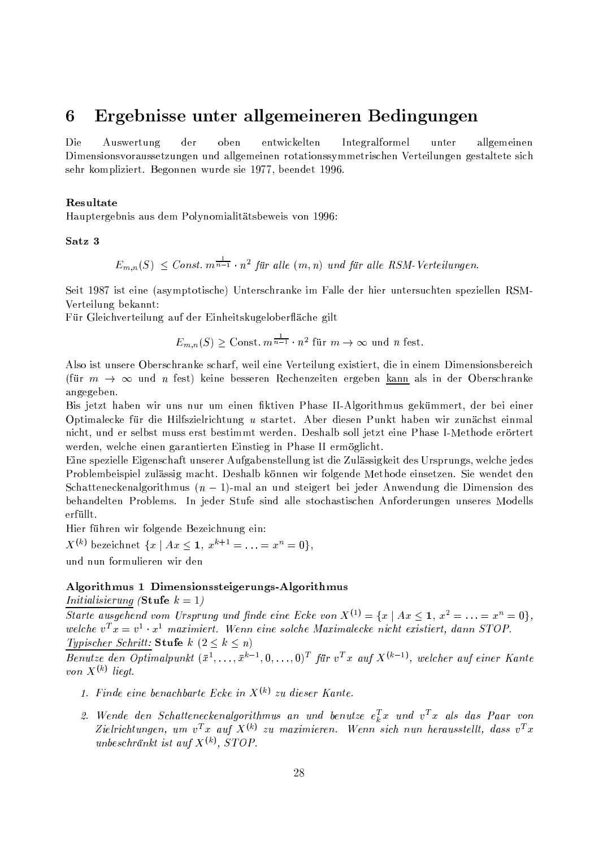#### Ergebnisse unter allgemeineren Bedingungen 6

Die Auswertung der oben entwickelten Integralformel unter allgemeinen Dimensionsvoraussetzungen und allgemeinen rotationssymmetrischen Verteilungen gestaltete sich sehr kompliziert. Begonnen wurde sie 1977, beendet 1996.

### Resultate

Hauptergebnis aus dem Polynomialitätsbeweis von 1996:

Satz<sub>3</sub>

 $E_{m,n}(S) \leq Const. m^{\frac{1}{n-1}} \cdot n^2$  für alle  $(m,n)$  und für alle RSM-Verteilungen.

Seit 1987 ist eine (asymptotische) Unterschranke im Falle der hier untersuchten speziellen RSM-Verteilung bekannt:

Für Gleichverteilung auf der Einheitskugeloberfläche gilt

$$
E_{m,n}(S) \geq \text{Const. } m^{\frac{1}{n-1}} \cdot n^2 \text{ für } m \to \infty \text{ und } n \text{ fest.}
$$

Also ist unsere Oberschranke scharf, weil eine Verteilung existiert, die in einem Dimensionsbereich (für  $m \to \infty$  und *n* fest) keine besseren Rechenzeiten ergeben <u>kann</u> als in der Oberschranke angegeben.

Bis jetzt haben wir uns nur um einen fiktiven Phase II-Algorithmus gekümmert, der bei einer Optimalecke für die Hilfszielrichtung u startet. Aber diesen Punkt haben wir zunächst einmal nicht, und er selbst muss erst bestimmt werden. Deshalb soll jetzt eine Phase I-Methode erörtert werden, welche einen garantierten Einstieg in Phase II ermöglicht.

Eine spezielle Eigenschaft unserer Aufgabenstellung ist die Zulässigkeit des Ursprungs, welche jedes Problembeispiel zulässig macht. Deshalb können wir folgende Methode einsetzen. Sie wendet den Schatteneckenalgorithmus  $(n-1)$ -mal an und steigert bei jeder Anwendung die Dimension des behandelten Problems. In jeder Stufe sind alle stochastischen Anforderungen unseres Modells erfüllt.

Hier führen wir folgende Bezeichnung ein:

 $X^{(k)}$  bezeichnet  $\{x \mid Ax \leq 1, x^{k+1} = \ldots = x^n = 0\},\$ und nun formulieren wir den

### Algorithmus 1 Dimensionssteigerungs-Algorithmus

*Initialisierung* (Stufe  $k = 1$ )

Starte ausgehend vom Ursprung und finde eine Ecke von  $X^{(1)} = \{x \mid Ax \leq 1, x^2 = \ldots = x^n = 0\},\$ welche  $v^T x = v^1 \cdot x^1$  maximiert. Wenn eine solche Maximalecke nicht existiert, dann STOP.

Typischer Schritt: Stufe  $k$   $(2 \leq k \leq n)$ 

*Benutze den Optimalpunkt*  $(\bar{x}^1, \ldots, \bar{x}^{k-1}, 0, \ldots, 0)^T$  für  $v^T x$  auf  $X^{(k-1)}$ , welcher auf einer Kante von  $X^{(k)}$  liegt.

- 1. Finde eine benachbarte Ecke in  $X^{(k)}$  zu dieser Kante.
- 2. Wende den Schatteneckenalgorithmus an und benutze  $e_k^T x$  und  $v^T x$  als das Paar von Zielrichtungen, um v<sup>T</sup>x auf  $X^{(k)}$  zu maximieren. Wenn sich nun herausstellt, dass v<sup>T</sup>x unbeschränkt ist auf  $X^{(k)}$ . STOP.